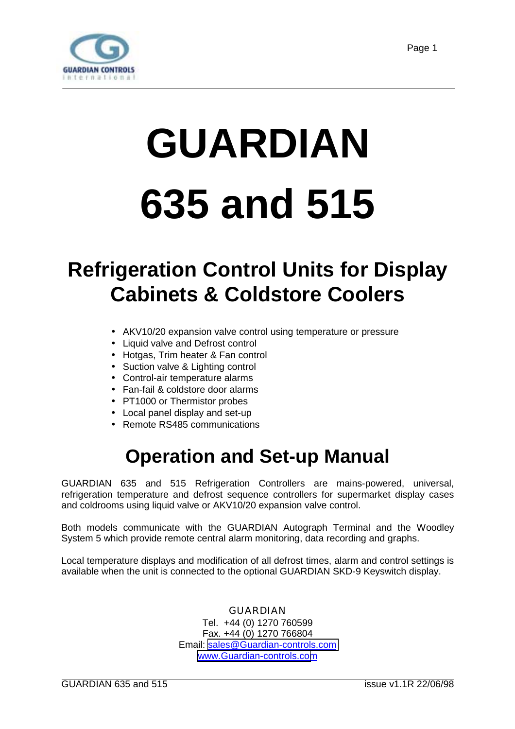<span id="page-0-0"></span>

# **GUARDIAN 635 and 515**

# **Refrigeration Control Units for Display Cabinets & Coldstore Coolers**

- AKV10/20 expansion valve control using temperature or pressure
- Liquid valve and Defrost control
- Hotgas, Trim heater & Fan control
- Suction valve & Lighting control
- Control-air temperature alarms
- Fan-fail & coldstore door alarms
- PT1000 or Thermistor probes
- Local panel display and set-up
- Remote RS485 communications

# **Operation and Set-up Manual**

GUARDIAN 635 and 515 Refrigeration Controllers are mains-powered, universal, refrigeration temperature and defrost sequence controllers for supermarket display cases and coldrooms using liquid valve or AKV10/20 expansion valve control.

Both models communicate with the GUARDIAN Autograph Terminal and the Woodley System 5 which provide remote central alarm monitoring, data recording and graphs.

Local temperature displays and modification of all defrost times, alarm and control settings is available when the unit is connected to the optional GUARDIAN SKD-9 Keyswitch display.

> GUARDIAN Tel. +44 (0) 1270 760599 Fax. +44 (0) 1270 766804 Email: [sales@Guardian-controls.com](mailto:sales@microm-electronics.com) [www.Guardian-controls.com](http://www.microm-electronics.com/)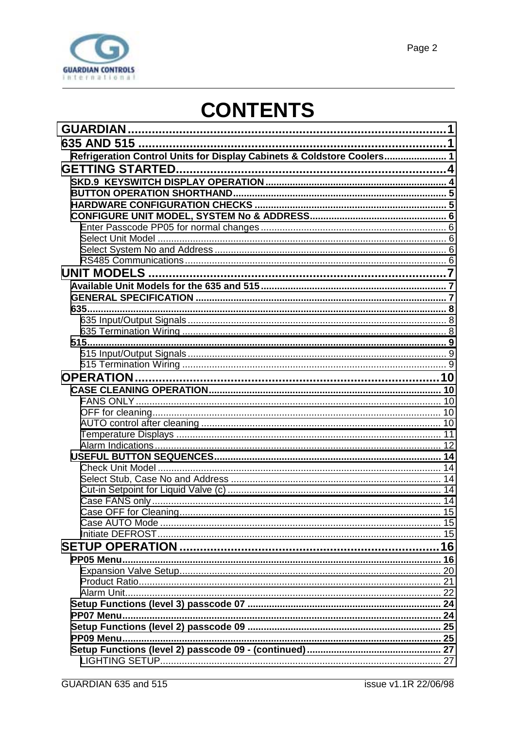

# **CONTENTS**

| Refrigeration Control Units for Display Cabinets & Coldstore Coolers 1 |  |
|------------------------------------------------------------------------|--|
|                                                                        |  |
|                                                                        |  |
|                                                                        |  |
|                                                                        |  |
|                                                                        |  |
|                                                                        |  |
|                                                                        |  |
|                                                                        |  |
|                                                                        |  |
|                                                                        |  |
|                                                                        |  |
|                                                                        |  |
|                                                                        |  |
|                                                                        |  |
|                                                                        |  |
|                                                                        |  |
|                                                                        |  |
|                                                                        |  |
|                                                                        |  |
|                                                                        |  |
|                                                                        |  |
|                                                                        |  |
|                                                                        |  |
|                                                                        |  |
|                                                                        |  |
|                                                                        |  |
|                                                                        |  |
|                                                                        |  |
|                                                                        |  |
|                                                                        |  |
|                                                                        |  |
|                                                                        |  |
|                                                                        |  |
|                                                                        |  |
| PP05 Menu.                                                             |  |
|                                                                        |  |
|                                                                        |  |
|                                                                        |  |
|                                                                        |  |
|                                                                        |  |
|                                                                        |  |
|                                                                        |  |
|                                                                        |  |
|                                                                        |  |
|                                                                        |  |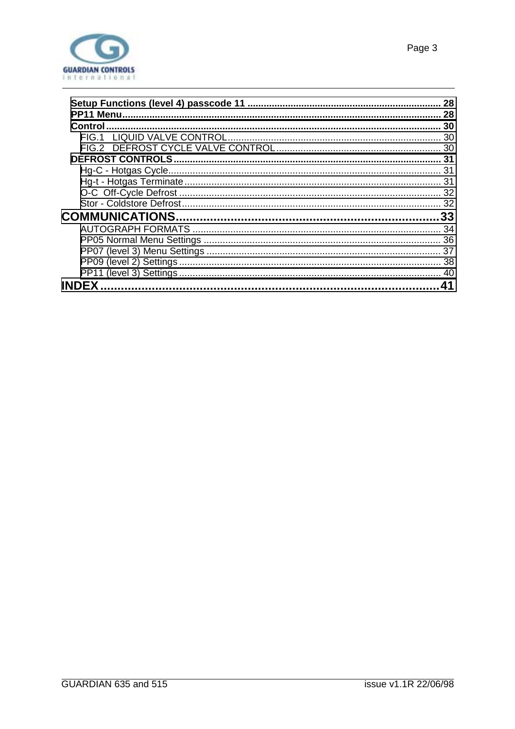

| 28  |
|-----|
| 28  |
| 30  |
|     |
|     |
| -31 |
|     |
|     |
|     |
|     |
| .33 |
| 34  |
|     |
| 37  |

| <b>INDEX</b> |  |
|--------------|--|
|              |  |
|              |  |
|              |  |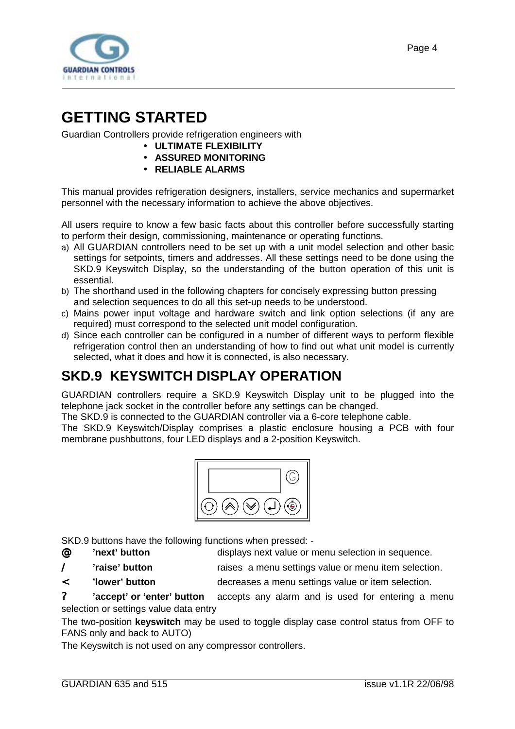<span id="page-3-0"></span>

# **GETTING STARTED**

Guardian Controllers provide refrigeration engineers with

- **ULTIMATE FLEXIBILITY**
- **ASSURED MONITORING**
- **RELIABLE ALARMS**

This manual provides refrigeration designers, installers, service mechanics and supermarket personnel with the necessary information to achieve the above objectives.

All users require to know a few basic facts about this controller before successfully starting to perform their design, commissioning, maintenance or operating functions.

- a) All GUARDIAN controllers need to be set up with a unit model selection and other basic settings for setpoints, timers and addresses. All these settings need to be done using the SKD.9 Keyswitch Display, so the understanding of the button operation of this unit is essential.
- b) The shorthand used in the following chapters for concisely expressing button pressing and selection sequences to do all this set-up needs to be understood.
- c) Mains power input voltage and hardware switch and link option selections (if any are required) must correspond to the selected unit model configuration.
- d) Since each controller can be configured in a number of different ways to perform flexible refrigeration control then an understanding of how to find out what unit model is currently selected, what it does and how it is connected, is also necessary.

# **SKD.9 KEYSWITCH DISPLAY OPERATION**

GUARDIAN controllers require a SKD.9 Keyswitch Display unit to be plugged into the telephone jack socket in the controller before any settings can be changed.

The SKD.9 is connected to the GUARDIAN controller via a 6-core telephone cable.

The SKD.9 Keyswitch/Display comprises a plastic enclosure housing a PCB with four membrane pushbuttons, four LED displays and a 2-position Keyswitch.



SKD.9 buttons have the following functions when pressed: -

- @ **'next' button** displays next value or menu selection in sequence.
- / **'raise' button** raises a menu settings value or menu item selection.
- < **'lower' button** decreases a menu settings value or item selection.

? **'accept' or 'enter' button** accepts any alarm and is used for entering a menu selection or settings value data entry

The two-position **keyswitch** may be used to toggle display case control status from OFF to FANS only and back to AUTO)

The Keyswitch is not used on any compressor controllers.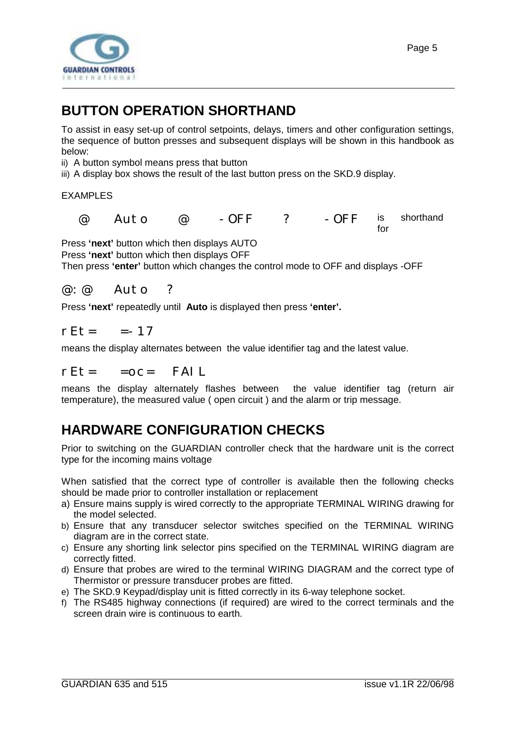<span id="page-4-0"></span>

# **BUTTON OPERATION SHORTHAND**

To assist in easy set-up of control setpoints, delays, timers and other configuration settings, the sequence of button presses and subsequent displays will be shown in this handbook as below:

ii) A button symbol means press that button

iii) A display box shows the result of the last button press on the SKD.9 display.

#### EXAMPLES

 @ Auto @ -OFF ? -OFF is shorthand for

Press **'next'** button which then displays AUTO Press **'next'** button which then displays OFF Then press **'enter'** button which changes the control mode to OFF and displays -OFF

@:@ Auto ?

Press **'next'** repeatedly until **Auto** is displayed then press **'enter'.**

 $rFt =$  =-17

means the display alternates between the value identifier tag and the latest value.

#### $rEt =  $=OC=$  FAIL$

means the display alternately flashes between the value identifier tag (return air temperature), the measured value ( open circuit ) and the alarm or trip message.

# **HARDWARE CONFIGURATION CHECKS**

Prior to switching on the GUARDIAN controller check that the hardware unit is the correct type for the incoming mains voltage

When satisfied that the correct type of controller is available then the following checks should be made prior to controller installation or replacement

- a) Ensure mains supply is wired correctly to the appropriate TERMINAL WIRING drawing for the model selected.
- b) Ensure that any transducer selector switches specified on the TERMINAL WIRING diagram are in the correct state.
- c) Ensure any shorting link selector pins specified on the TERMINAL WIRING diagram are correctly fitted.
- d) Ensure that probes are wired to the terminal WIRING DIAGRAM and the correct type of Thermistor or pressure transducer probes are fitted.
- e) The SKD.9 Keypad/display unit is fitted correctly in its 6-way telephone socket.
- f) The RS485 highway connections (if required) are wired to the correct terminals and the screen drain wire is continuous to earth.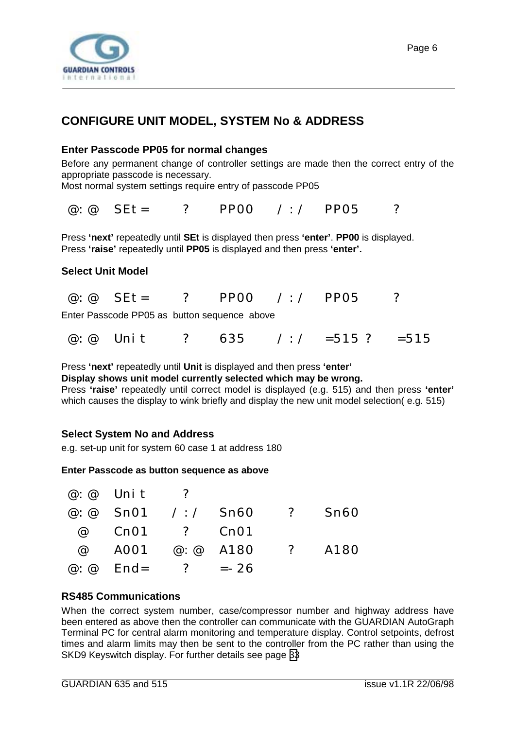<span id="page-5-0"></span>

### **CONFIGURE UNIT MODEL, SYSTEM No & ADDRESS**

#### **Enter Passcode PP05 for normal changes**

Before any permanent change of controller settings are made then the correct entry of the appropriate passcode is necessary.

Most normal system settings require entry of passcode PP05

@:@ SEt= ? PP00 /:/ PP05 ?

Press **'next'** repeatedly until **SEt** is displayed then press **'enter'**. **PP00** is displayed. Press **'raise'** repeatedly until **PP05** is displayed and then press **'enter'.**

#### **Select Unit Model**

|  | $@: @$ SEt= |  | ? PPOO |  | $\angle$ : / PP05 |  |
|--|-------------|--|--------|--|-------------------|--|
|--|-------------|--|--------|--|-------------------|--|

Enter Passcode PP05 as button sequence above

| $? 635 / : / = 515 ? = 515$<br>$@: @$ Unit |  |
|--------------------------------------------|--|
|--------------------------------------------|--|

Press **'next'** repeatedly until **Unit** is displayed and then press **'enter' Display shows unit model currently selected which may be wrong.** Press **'raise'** repeatedly until correct model is displayed (e.g. 515) and then press **'enter'** which causes the display to wink briefly and display the new unit model selection( e.g. 515)

#### **Select System No and Address**

e.g. set-up unit for system 60 case 1 at address 180

#### **Enter Passcode as button sequence as above**

| $\omega$ : $\omega$ Unit ?       |  |                                  |  |
|----------------------------------|--|----------------------------------|--|
|                                  |  | @: @ $Sn01$ /: / $Sn60$ ? $Sn60$ |  |
| @ Cn01 ? Cn01                    |  |                                  |  |
|                                  |  | @ A001 @:@ A180 ? A180           |  |
| $\omega$ : $\omega$ End= ? = -26 |  |                                  |  |

#### **RS485 Communications**

When the correct system number, case/compressor number and highway address have been entered as above then the controller can communicate with the GUARDIAN AutoGraph Terminal PC for central alarm monitoring and temperature display. Control setpoints, defrost times and alarm limits may then be sent to the controller from the PC rather than using the SKD9 Keyswitch display. For further details see page [33](#page-32-0)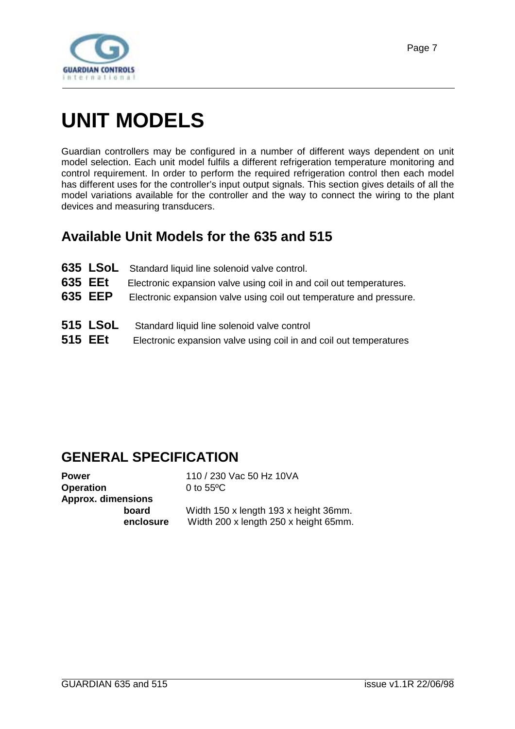<span id="page-6-0"></span>

# **UNIT MODELS**

Guardian controllers may be configured in a number of different ways dependent on unit model selection. Each unit model fulfils a different refrigeration temperature monitoring and control requirement. In order to perform the required refrigeration control then each model has different uses for the controller's input output signals. This section gives details of all the model variations available for the controller and the way to connect the wiring to the plant devices and measuring transducers.

# **Available Unit Models for the 635 and 515**

- **635 LSoL** Standard liquid line solenoid valve control.
- **635 EEt** Electronic expansion valve using coil in and coil out temperatures.
- **635 EEP** Electronic expansion valve using coil out temperature and pressure.
- **515 LSoL** Standard liquid line solenoid valve control
- **515 EEt** Electronic expansion valve using coil in and coil out temperatures

### **GENERAL SPECIFICATION**

| Power                     |          |
|---------------------------|----------|
| Operation                 |          |
| <b>Approx. dimensions</b> |          |
|                           | board    |
|                           | enclosur |

**Power** 110 / 230 Vac 50 Hz 10VA **Operation** 0 to 55ºC

**board** Width 150 x length 193 x height 36mm. **e** Width 200 x length 250 x height 65mm.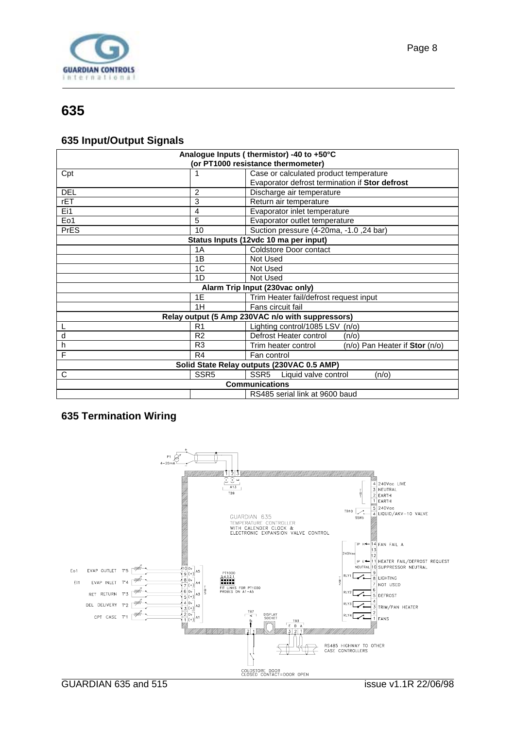<span id="page-7-0"></span>

#### **635 Input/Output Signals**

| Analogue Inputs (thermistor) -40 to +50°C<br>(or PT1000 resistance thermometer) |                         |                                                                                          |  |
|---------------------------------------------------------------------------------|-------------------------|------------------------------------------------------------------------------------------|--|
| Cpt                                                                             |                         | Case or calculated product temperature<br>Evaporator defrost termination if Stor defrost |  |
|                                                                                 |                         |                                                                                          |  |
| <b>DEL</b>                                                                      | $\overline{2}$          | Discharge air temperature                                                                |  |
| rET                                                                             | 3                       | Return air temperature                                                                   |  |
| Ei1                                                                             | 4                       | Evaporator inlet temperature                                                             |  |
| Eo1                                                                             | 5                       | Evaporator outlet temperature                                                            |  |
| <b>PrES</b>                                                                     | 10                      | Suction pressure (4-20ma, -1.0, 24 bar)                                                  |  |
|                                                                                 |                         | Status Inputs (12vdc 10 ma per input)                                                    |  |
|                                                                                 | 1A                      | <b>Coldstore Door contact</b>                                                            |  |
|                                                                                 | 1B                      | Not Used                                                                                 |  |
|                                                                                 | 1C                      | Not Used                                                                                 |  |
|                                                                                 | 1D                      | Not Used                                                                                 |  |
|                                                                                 |                         | Alarm Trip Input (230vac only)                                                           |  |
|                                                                                 | 1E                      | Trim Heater fail/defrost request input                                                   |  |
|                                                                                 | Fans circuit fail<br>1H |                                                                                          |  |
|                                                                                 |                         | Relay output (5 Amp 230VAC n/o with suppressors)                                         |  |
|                                                                                 | R <sub>1</sub>          | Lighting control/1085 LSV (n/o)                                                          |  |
| d                                                                               | R <sub>2</sub>          | Defrost Heater control<br>(n/o)                                                          |  |
| h                                                                               | R <sub>3</sub>          | (n/o) Pan Heater if Stor (n/o)<br>Trim heater control                                    |  |
| F                                                                               | R <sub>4</sub>          | Fan control                                                                              |  |
| Solid State Relay outputs (230VAC 0.5 AMP)                                      |                         |                                                                                          |  |
| C                                                                               | SSR <sub>5</sub>        | SSR <sub>5</sub><br>Liquid valve control<br>(n/o)                                        |  |
| <b>Communications</b>                                                           |                         |                                                                                          |  |
| RS485 serial link at 9600 baud                                                  |                         |                                                                                          |  |

#### **635 Termination Wiring**

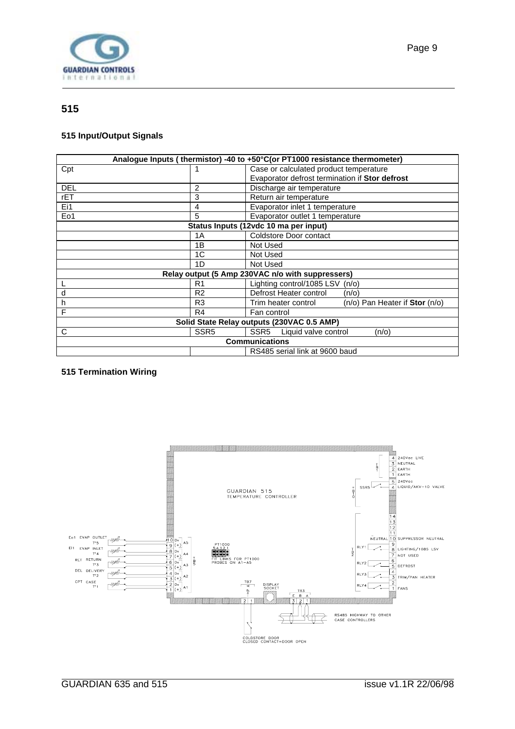<span id="page-8-0"></span>

#### **515**

#### **515 Input/Output Signals**

| Analogue Inputs (thermistor) -40 to +50°C(or PT1000 resistance thermometer) |                  |                                                       |  |
|-----------------------------------------------------------------------------|------------------|-------------------------------------------------------|--|
| Cpt                                                                         |                  | Case or calculated product temperature                |  |
|                                                                             |                  | Evaporator defrost termination if Stor defrost        |  |
| DEL                                                                         | 2                | Discharge air temperature                             |  |
| rET                                                                         | 3                | Return air temperature                                |  |
| Ei1                                                                         | 4                | Evaporator inlet 1 temperature                        |  |
| Eo1                                                                         | 5                | Evaporator outlet 1 temperature                       |  |
|                                                                             |                  | Status Inputs (12vdc 10 ma per input)                 |  |
|                                                                             | 1A               | Coldstore Door contact                                |  |
|                                                                             | 1B               | Not Used                                              |  |
|                                                                             | 1 <sup>C</sup>   | Not Used                                              |  |
|                                                                             | 1D               | Not Used                                              |  |
|                                                                             |                  | Relay output (5 Amp 230VAC n/o with suppressers)      |  |
|                                                                             | R1               | Lighting control/1085 LSV<br>(n/o)                    |  |
| d                                                                           | R <sub>2</sub>   | Defrost Heater control<br>(n/o)                       |  |
| h                                                                           | R <sub>3</sub>   | Trim heater control<br>(n/o) Pan Heater if Stor (n/o) |  |
| F                                                                           | R4               | Fan control                                           |  |
| Solid State Relay outputs (230VAC 0.5 AMP)                                  |                  |                                                       |  |
| C                                                                           | SSR <sub>5</sub> | SSR <sub>5</sub><br>Liquid valve control<br>(n/o)     |  |
| <b>Communications</b>                                                       |                  |                                                       |  |
| RS485 serial link at 9600 baud                                              |                  |                                                       |  |

#### **515 Termination Wiring**

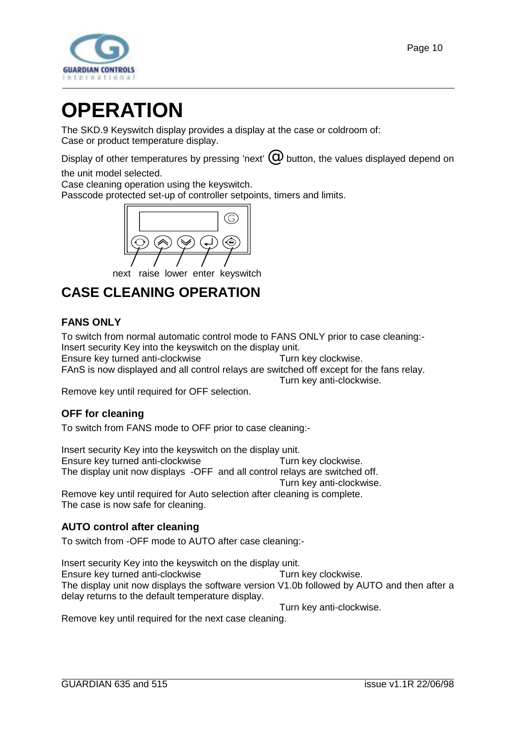<span id="page-9-0"></span>

# **OPERATION**

The SKD.9 Keyswitch display provides a display at the case or coldroom of: Case or product temperature display.

Display of other temperatures by pressing 'next'  $\mathcal O$  button, the values displayed depend on the unit model selected.

Case cleaning operation using the keyswitch.

Passcode protected set-up of controller setpoints, timers and limits.



next raise lower enter keyswitch

# **CASE CLEANING OPERATION**

#### **FANS ONLY**

To switch from normal automatic control mode to FANS ONLY prior to case cleaning:- Insert security Key into the keyswitch on the display unit.

Ensure key turned anti-clockwise Turn key clockwise. FAnS is now displayed and all control relays are switched off except for the fans relay.

Turn key anti-clockwise.

Remove key until required for OFF selection.

#### **OFF for cleaning**

To switch from FANS mode to OFF prior to case cleaning:-

Insert security Key into the keyswitch on the display unit. Ensure key turned anti-clockwise Turn key clockwise. The display unit now displays -OFF and all control relays are switched off. Turn key anti-clockwise.

Remove key until required for Auto selection after cleaning is complete. The case is now safe for cleaning.

#### **AUTO control after cleaning**

To switch from -OFF mode to AUTO after case cleaning:-

Insert security Key into the keyswitch on the display unit. Ensure key turned anti-clockwise Turn key clockwise. The display unit now displays the software version V1.0b followed by AUTO and then after a delay returns to the default temperature display.

Turn key anti-clockwise.

Remove key until required for the next case cleaning.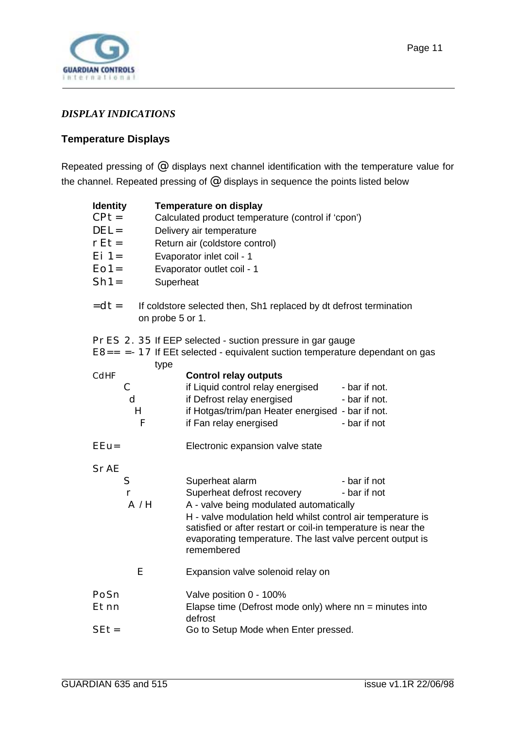<span id="page-10-0"></span>

#### *DISPLAY INDICATIONS*

#### **Temperature Displays**

Repeated pressing of @ displays next channel identification with the temperature value for the channel. Repeated pressing of  $@$  displays in sequence the points listed below

| <b>Identity</b>                     | <b>Temperature on display</b>                                                                                                                                                                                                                                                                                                       |  |  |  |  |
|-------------------------------------|-------------------------------------------------------------------------------------------------------------------------------------------------------------------------------------------------------------------------------------------------------------------------------------------------------------------------------------|--|--|--|--|
| $CPt =$                             | Calculated product temperature (control if 'cpon')                                                                                                                                                                                                                                                                                  |  |  |  |  |
| $DEL =$                             | Delivery air temperature                                                                                                                                                                                                                                                                                                            |  |  |  |  |
| $rEt =$                             | Return air (coldstore control)                                                                                                                                                                                                                                                                                                      |  |  |  |  |
| $Ei = 1 =$                          | Evaporator inlet coil - 1                                                                                                                                                                                                                                                                                                           |  |  |  |  |
| $EO1=$                              | Evaporator outlet coil - 1                                                                                                                                                                                                                                                                                                          |  |  |  |  |
| $Sh1=$                              | Superheat                                                                                                                                                                                                                                                                                                                           |  |  |  |  |
| $=$ dt=                             | If coldstore selected then, Sh1 replaced by dt defrost termination<br>on probe 5 or 1.                                                                                                                                                                                                                                              |  |  |  |  |
|                                     | PrES 2. 35 If EEP selected - suction pressure in gar gauge<br>$E8 == -17$ If EEt selected - equivalent suction temperature dependant on gas                                                                                                                                                                                         |  |  |  |  |
| CdHF<br>$\mathsf C$<br>d<br>H<br>F  | type<br><b>Control relay outputs</b><br>if Liquid control relay energised<br>- bar if not.<br>if Defrost relay energised<br>- bar if not.<br>if Hotgas/trim/pan Heater energised - bar if not.<br>if Fan relay energised<br>- bar if not                                                                                            |  |  |  |  |
| $EEu=$                              | Electronic expansion valve state                                                                                                                                                                                                                                                                                                    |  |  |  |  |
| <b>SrAE</b><br>S<br>$\Gamma$<br>A/H | - bar if not<br>Superheat alarm<br>Superheat defrost recovery<br>- bar if not<br>A - valve being modulated automatically<br>H - valve modulation held whilst control air temperature is<br>satisfied or after restart or coil-in temperature is near the<br>evaporating temperature. The last valve percent output is<br>remembered |  |  |  |  |
| E                                   | Expansion valve solenoid relay on                                                                                                                                                                                                                                                                                                   |  |  |  |  |
| PoSn<br>Etnn                        | Valve position 0 - 100%<br>Elapse time (Defrost mode only) where $nn = minutes$ into<br>defrost                                                                                                                                                                                                                                     |  |  |  |  |
| $SEt =$                             | Go to Setup Mode when Enter pressed.                                                                                                                                                                                                                                                                                                |  |  |  |  |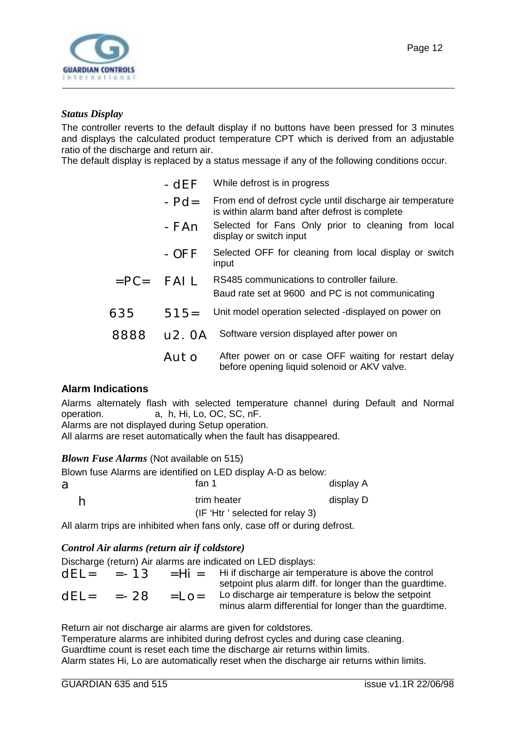<span id="page-11-0"></span>

#### *Status Display*

The controller reverts to the default display if no buttons have been pressed for 3 minutes and displays the calculated product temperature CPT which is derived from an adjustable ratio of the discharge and return air.

The default display is replaced by a status message if any of the following conditions occur.

- $-Pd$ = From end of defrost cycle until discharge air temperature is within alarm band after defrost is complete
- -FAn Selected for Fans Only prior to cleaning from local display or switch input
- -OFF Selected OFF for cleaning from local display or switch input
- $=$  PC $=$  FAII RS485 communications to controller failure. Baud rate set at 9600 and PC is not communicating
- $635$   $515=$  Unit model operation selected -displayed on power on
- 8888 u2.0A Software version displayed after power on
	- $A \cup A$  After power on or case OFF waiting for restart delay before opening liquid solenoid or AKV valve.

#### **Alarm Indications**

Alarms alternately flash with selected temperature channel during Default and Normal operation. a, h, Hi, Lo, OC, SC, nF.

Alarms are not displayed during Setup operation.

All alarms are reset automatically when the fault has disappeared.

#### *Blown Fuse Alarms* (Not available on 515)

Blown fuse Alarms are identified on LED display A-D as below:

| a | fan 1                           | display A |
|---|---------------------------------|-----------|
| h | trim heater                     | display D |
|   | (IF 'Htr' selected for relay 3) |           |

All alarm trips are inhibited when fans only, case off or during defrost.

#### *Control Air alarms (return air if coldstore)*

Discharge (return) Air alarms are indicated on LED displays:

|        | $dEL = -13$ |                | $=$ Hi = Hi if discharge air temperature is above the control<br>setpoint plus alarm diff. for longer than the guardtime. |
|--------|-------------|----------------|---------------------------------------------------------------------------------------------------------------------------|
| $dEL=$ | =-28        | $=$ I $\Omega$ | Lo discharge air temperature is below the setpoint<br>minus alarm differential for longer than the guardtime.             |

Return air not discharge air alarms are given for coldstores.

Temperature alarms are inhibited during defrost cycles and during case cleaning. Guardtime count is reset each time the discharge air returns within limits. Alarm states Hi, Lo are automatically reset when the discharge air returns within limits.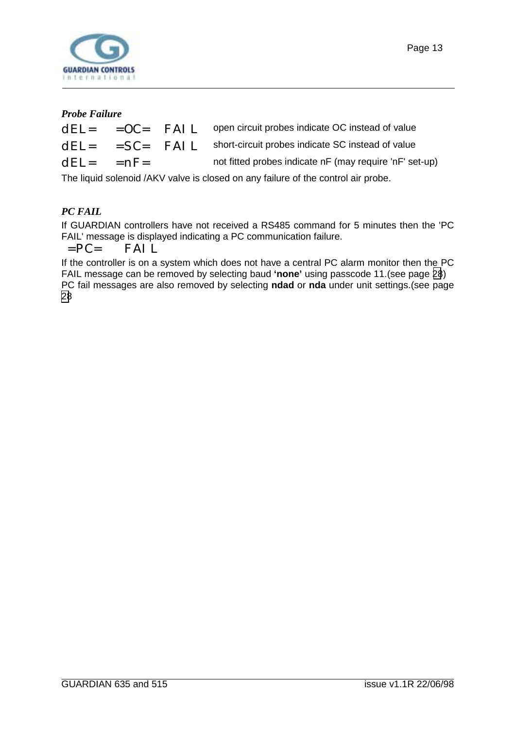

#### *Probe Failure*

|                |  | $dE$ = $0C$ = $FAI$ L open circuit probes indicate OC instead of value     |
|----------------|--|----------------------------------------------------------------------------|
|                |  | $dEL =$ = $SC =$ $FAI L$ short-circuit probes indicate SC instead of value |
| $dEL = = nF =$ |  | not fitted probes indicate nF (may require 'nF' set-up)                    |
|                |  |                                                                            |

The liquid solenoid /AKV valve is closed on any failure of the control air probe.

#### *PC FAIL*

If GUARDIAN controllers have not received a RS485 command for 5 minutes then the 'PC FAIL' message is displayed indicating a PC communication failure.

 $=PC=$  FAIL

If the controller is on a system which does not have a central PC alarm monitor then the PC FAIL message can be removed by selecting baud **'none'** using passcode 11.(see page [28](#page-27-0)) PC fail messages are also removed by selecting **ndad** or **nda** under unit settings.(see page [28](#page-27-0)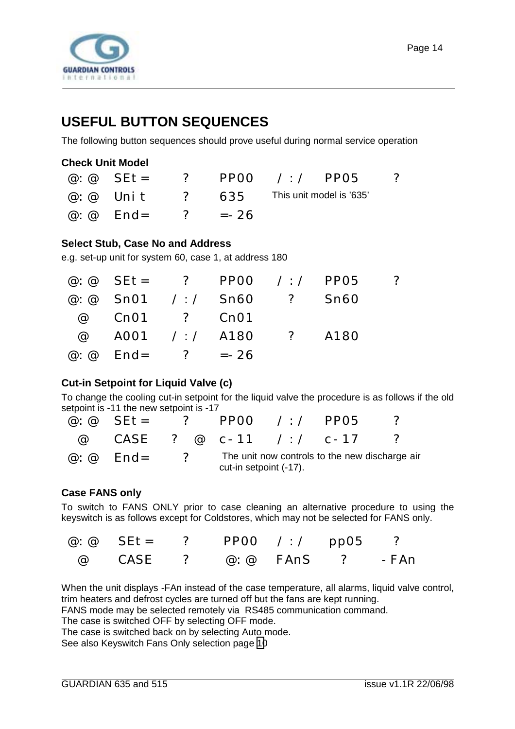<span id="page-13-0"></span>

# **USEFUL BUTTON SEQUENCES**

The following button sequences should prove useful during normal service operation

|                                |  | @:@ SEt= ? PPOO /:/ PPO5 ?                              |  |
|--------------------------------|--|---------------------------------------------------------|--|
|                                |  | $\omega$ : $\omega$ Unit ? 635 This unit model is '635' |  |
| $\omega$ $\omega$ End= ? = -26 |  |                                                         |  |

#### **Select Stub, Case No and Address**

e.g. set-up unit for system 60, case 1, at address 180

|                                  |                           | @: @ SEt= ? PP00 /:/ PP05 ? |  |
|----------------------------------|---------------------------|-----------------------------|--|
|                                  | @: @ Sn01 /:/ Sn60 ? Sn60 |                             |  |
| @ Cn01 ? Cn01                    |                           |                             |  |
|                                  | @ A001 /:/ A180 ? A180    |                             |  |
| $\omega$ : $\omega$ End= ? = -26 |                           |                             |  |

#### **Cut-in Setpoint for Liquid Valve (c)**

To change the cooling cut-in setpoint for the liquid valve the procedure is as follows if the old setpoint is -11 the new setpoint is -17

| @ $\omega$ SEt = ? PP00 / / PP05 |                          |                        |                                                |  |
|----------------------------------|--------------------------|------------------------|------------------------------------------------|--|
|                                  |                          |                        | @ CASE ? @ c-11 /:/ c-17 ?                     |  |
| $\varpi: \varpi$ End=            | $\overline{\mathcal{C}}$ | cut-in setpoint (-17). | The unit now controls to the new discharge air |  |

#### **Case FANS only**

To switch to FANS ONLY prior to case cleaning an alternative procedure to using the keyswitch is as follows except for Coldstores, which may not be selected for FANS only.

| @: @ SEt= ? PP00 /:/ pp05 ? |  |  |  |
|-----------------------------|--|--|--|
| @ CASE ? @:@ FAnS ? -FAn    |  |  |  |

When the unit displays -FAn instead of the case temperature, all alarms, liquid valve control, trim heaters and defrost cycles are turned off but the fans are kept running.

FANS mode may be selected remotely via RS485 communication command.

The case is switched OFF by selecting OFF mode.

The case is switched back on by selecting Auto mode.

See also Keyswitch Fans Only selection page [10](#page-9-0)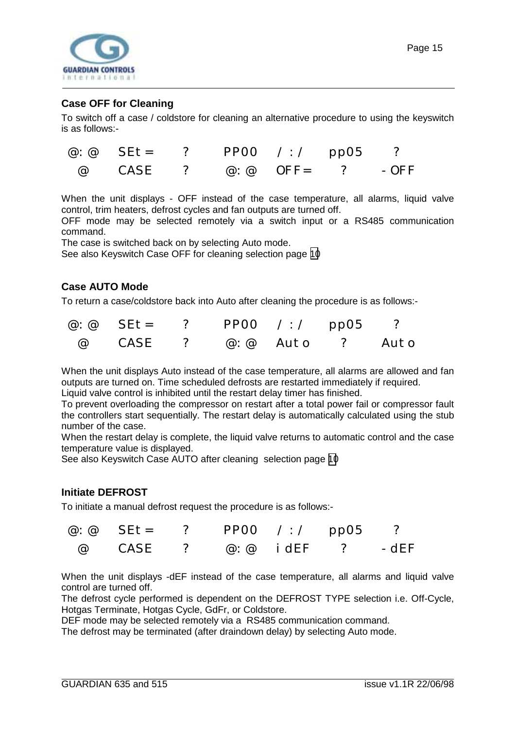<span id="page-14-0"></span>

#### **Case OFF for Cleaning**

To switch off a case / coldstore for cleaning an alternative procedure to using the keyswitch is as follows:-

| @:@ SEt= ? PP00 /:/ pp05 ? |  |  |  |
|----------------------------|--|--|--|
| @ CASE ? @:@ OFF= ? -OFF   |  |  |  |

When the unit displays - OFF instead of the case temperature, all alarms, liquid valve control, trim heaters, defrost cycles and fan outputs are turned off.

OFF mode may be selected remotely via a switch input or a RS485 communication command.

The case is switched back on by selecting Auto mode.

See also Keyswitch Case OFF for cleaning selection page [10](#page-9-0)

#### **Case AUTO Mode**

To return a case/coldstore back into Auto after cleaning the procedure is as follows:-

| @:@ SEt= ? PPOO /:/ ppO5 ? |  |  |  |
|----------------------------|--|--|--|
| @ CASE ? @:@ Auto ? Auto   |  |  |  |

When the unit displays Auto instead of the case temperature, all alarms are allowed and fan outputs are turned on. Time scheduled defrosts are restarted immediately if required.

Liquid valve control is inhibited until the restart delay timer has finished.

To prevent overloading the compressor on restart after a total power fail or compressor fault the controllers start sequentially. The restart delay is automatically calculated using the stub number of the case.

When the restart delay is complete, the liquid valve returns to automatic control and the case temperature value is displayed.

See also Keyswitch Case AUTO after cleaning selection page [10](#page-9-0)

#### **Initiate DEFROST**

To initiate a manual defrost request the procedure is as follows:-

| @: @ SEt= ? PP00 /:/ pp05 ? |  |  |  |
|-----------------------------|--|--|--|
| @ CASE ? @:@ idEF ? -dEF    |  |  |  |

When the unit displays -dEF instead of the case temperature, all alarms and liquid valve control are turned off.

The defrost cycle performed is dependent on the DEFROST TYPE selection i.e. Off-Cycle, Hotgas Terminate, Hotgas Cycle, GdFr, or Coldstore.

DEF mode may be selected remotely via a RS485 communication command.

The defrost may be terminated (after draindown delay) by selecting Auto mode.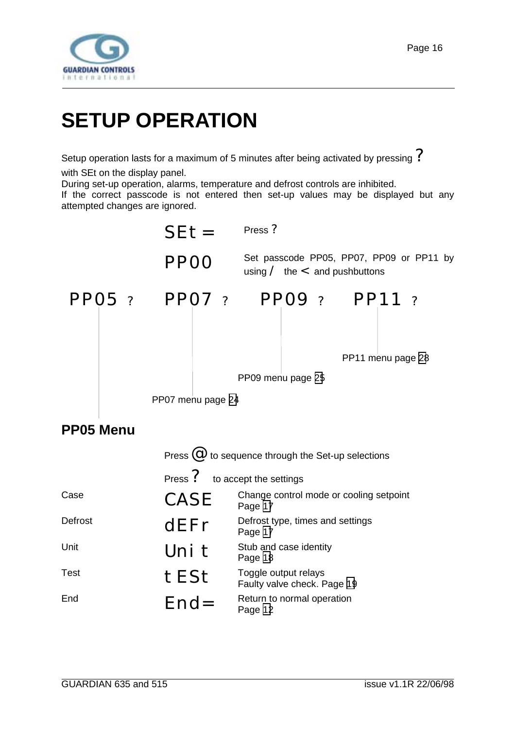<span id="page-15-0"></span>

# **SETUP OPERATION**

Setup operation lasts for a maximum of 5 minutes after being activated by pressing  $\mathcal P$ 

with SEt on the display panel.

During set-up operation, alarms, temperature and defrost controls are inhibited.

If the correct passcode is not entered then set-up values may be displayed but any attempted changes are ignored.



| Unit | Uni t | Stub and case identity<br>Page 18                   |
|------|-------|-----------------------------------------------------|
| Test | tESt  | Toggle output relays<br>Faulty valve check. Page 19 |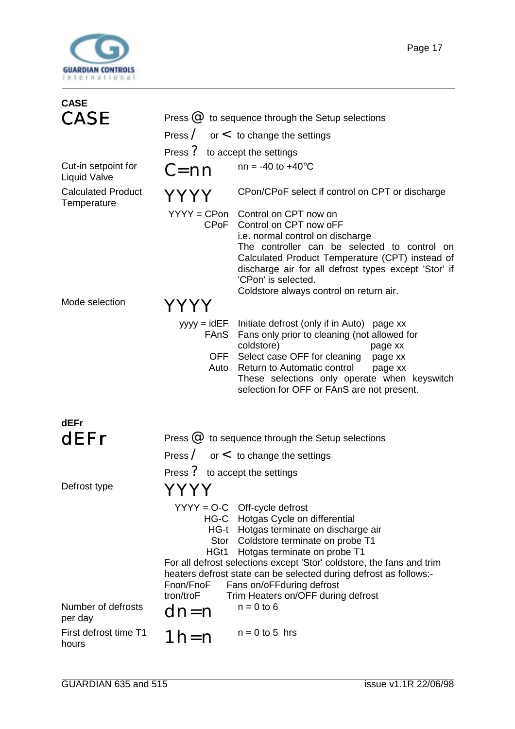<span id="page-16-0"></span>

| <b>CASE</b>                                |                                                    |                                                                                                                                                                                                                                                                                                                                                                                                                   |  |  |  |
|--------------------------------------------|----------------------------------------------------|-------------------------------------------------------------------------------------------------------------------------------------------------------------------------------------------------------------------------------------------------------------------------------------------------------------------------------------------------------------------------------------------------------------------|--|--|--|
| <b>CASE</b>                                | Press $@$ to sequence through the Setup selections |                                                                                                                                                                                                                                                                                                                                                                                                                   |  |  |  |
|                                            |                                                    | Press $\angle$ or $\lt$ to change the settings                                                                                                                                                                                                                                                                                                                                                                    |  |  |  |
|                                            | Press ? to accept the settings                     |                                                                                                                                                                                                                                                                                                                                                                                                                   |  |  |  |
| Cut-in setpoint for<br><b>Liquid Valve</b> | C=nn                                               | $nn = -40$ to $+40^{\circ}C$                                                                                                                                                                                                                                                                                                                                                                                      |  |  |  |
| <b>Calculated Product</b><br>Temperature   | YYYY                                               | CPon/CPoF select if control on CPT or discharge                                                                                                                                                                                                                                                                                                                                                                   |  |  |  |
|                                            | CPOF                                               | YYYY = CPon Control on CPT now on<br>Control on CPT now oFF<br>i.e. normal control on discharge<br>The controller can be selected to control on<br>Calculated Product Temperature (CPT) instead of<br>discharge air for all defrost types except 'Stor' if<br>'CPon' is selected.<br>Coldstore always control on return air.                                                                                      |  |  |  |
| Mode selection                             |                                                    |                                                                                                                                                                                                                                                                                                                                                                                                                   |  |  |  |
|                                            | $yyyy = idEF$<br>FAnS<br>OFF<br>Auto               | Initiate defrost (only if in Auto) page xx<br>Fans only prior to cleaning (not allowed for<br>coldstore)<br>page xx<br>Select case OFF for cleaning<br>page xx<br>Return to Automatic control<br>page xx<br>These selections only operate when keyswitch<br>selection for OFF or FAnS are not present.                                                                                                            |  |  |  |
| dEFr                                       |                                                    |                                                                                                                                                                                                                                                                                                                                                                                                                   |  |  |  |
| dEFr                                       |                                                    | Press $@$ to sequence through the Setup selections                                                                                                                                                                                                                                                                                                                                                                |  |  |  |
|                                            |                                                    | Press $\angle$ or $\leq$ to change the settings                                                                                                                                                                                                                                                                                                                                                                   |  |  |  |
|                                            | Press ? to accept the settings                     |                                                                                                                                                                                                                                                                                                                                                                                                                   |  |  |  |
| Defrost type                               | YYYY                                               |                                                                                                                                                                                                                                                                                                                                                                                                                   |  |  |  |
| Number of defrosts                         | Stor<br>HGt1<br>Fnon/FnoF<br>tron/troF<br>dn=n     | $YYYY = O-C$ Off-cycle defrost<br>HG-C Hotgas Cycle on differential<br>HG-t Hotgas terminate on discharge air<br>Coldstore terminate on probe T1<br>Hotgas terminate on probe T1<br>For all defrost selections except 'Stor' coldstore, the fans and trim<br>heaters defrost state can be selected during defrost as follows:-<br>Fans on/oFFduring defrost<br>Trim Heaters on/OFF during defrost<br>$n = 0$ to 6 |  |  |  |
| per day                                    |                                                    |                                                                                                                                                                                                                                                                                                                                                                                                                   |  |  |  |
| First defrost time T1<br>hours             | $1h=n$                                             | $n = 0$ to 5 hrs                                                                                                                                                                                                                                                                                                                                                                                                  |  |  |  |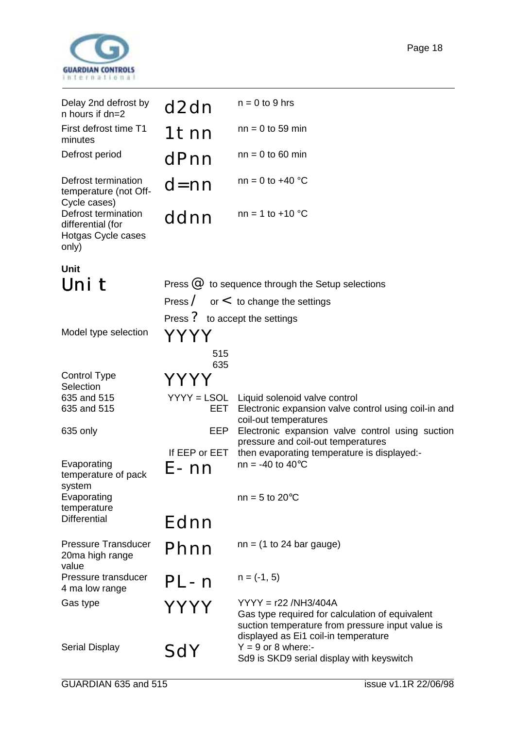<span id="page-17-0"></span>

| Delay 2nd defrost by<br>n hours if dn=2                                 | d2dn                           | $n = 0$ to 9 hrs                                                                                               |
|-------------------------------------------------------------------------|--------------------------------|----------------------------------------------------------------------------------------------------------------|
| First defrost time T1<br>minutes                                        | 1tnn                           | $nn = 0$ to 59 min                                                                                             |
| Defrost period                                                          | dPnn                           | $nn = 0$ to 60 min                                                                                             |
| Defrost termination<br>temperature (not Off-<br>Cycle cases)            | $d = nn$                       | $nn = 0$ to +40 °C                                                                                             |
| Defrost termination<br>differential (for<br>Hotgas Cycle cases<br>only) | ddnn                           | $nn = 1 to +10 °C$                                                                                             |
| <b>Unit</b>                                                             |                                |                                                                                                                |
| Uni t                                                                   |                                | Press $@$ to sequence through the Setup selections                                                             |
|                                                                         |                                | Press $\angle$ or $\lt$ to change the settings                                                                 |
|                                                                         | Press ? to accept the settings |                                                                                                                |
| Model type selection                                                    | YYYY                           |                                                                                                                |
|                                                                         | 515<br>635                     |                                                                                                                |
| <b>Control Type</b><br>Selection                                        | Y Y .<br>ΥY                    |                                                                                                                |
| 635 and 515<br>635 and 515                                              | $YYYY = LSOL$<br>EET           | Liquid solenoid valve control<br>Electronic expansion valve control using coil-in and<br>coil-out temperatures |
| 635 only                                                                | EEP                            | Electronic expansion valve control using suction<br>pressure and coil-out temperatures                         |
|                                                                         | If EEP or EET                  | then evaporating temperature is displayed:-                                                                    |
| Evaporating<br>temperature of pack<br>system                            | E-nn                           | $nn = -40$ to $40^{\circ}C$                                                                                    |
| Evaporating<br>temperature                                              |                                | $nn = 5$ to 20 $°C$                                                                                            |
| <b>Differential</b>                                                     | Ednn                           |                                                                                                                |
| <b>Pressure Transducer</b><br>20ma high range<br>value                  | Phnn                           | $nn = (1 to 24 bar gauge)$                                                                                     |
| Pressure transducer<br>4 ma low range                                   | PL-n                           | $n = (-1, 5)$                                                                                                  |
| $\bigcap$ oo tuno                                                       |                                | VVVV <sub>— r</sub> oo /NILIq/1011                                                                             |

Gas type  $YYYY$   $^{YYYY}$  = r22 /NH3/404A<br>Gas type required for calculation of equivalent suction temperature from pressure input value is displayed as Ei1 coil-in temperature Serial Display  $SdY = 9$  or 8 where:-<br>SdY  $Y = 9$  or 8 where:-Sd9 is SKD9 serial display with keyswitch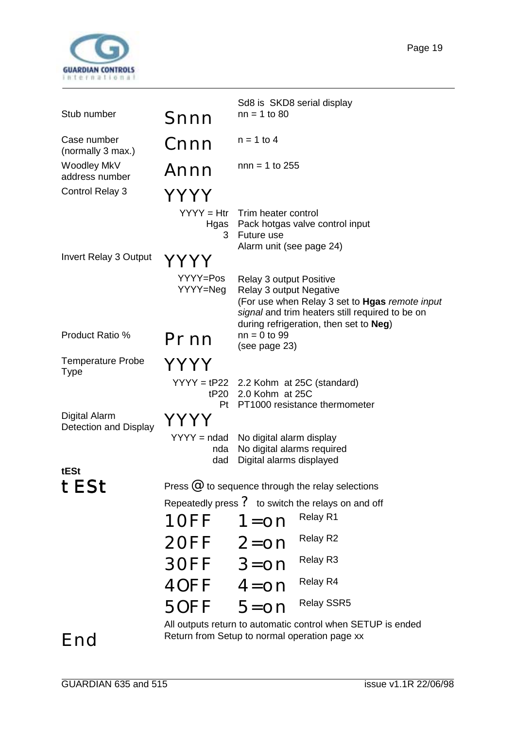

|                                               |                             |                                                                                    | Sd8 is SKD8 serial display                                                                                                                  |
|-----------------------------------------------|-----------------------------|------------------------------------------------------------------------------------|---------------------------------------------------------------------------------------------------------------------------------------------|
| Stub number                                   | Snnn                        | $nn = 1$ to 80                                                                     |                                                                                                                                             |
| Case number<br>(normally 3 max.)              | Cnnn                        | $n = 1$ to 4                                                                       |                                                                                                                                             |
| Woodley MkV<br>address number                 | Annn                        | $nnn = 1$ to 255                                                                   |                                                                                                                                             |
| <b>Control Relay 3</b>                        | YYYY                        |                                                                                    |                                                                                                                                             |
|                                               | $YYYY = Htr$<br>3           | Trim heater control<br>Future use<br>Alarm unit (see page 24)                      | Hgas Pack hotgas valve control input                                                                                                        |
| <b>Invert Relay 3 Output</b>                  | Y Y Y I                     |                                                                                    |                                                                                                                                             |
|                                               | YYYY=Pos<br>YYYY=Neg        | <b>Relay 3 output Positive</b><br>Relay 3 output Negative                          | (For use when Relay 3 set to Hgas remote input<br>signal and trim heaters still required to be on<br>during refrigeration, then set to Neg) |
| Product Ratio %                               | Prnn                        | $nn = 0$ to 99<br>(see page 23)                                                    |                                                                                                                                             |
| <b>Temperature Probe</b><br>Type              | YYYY                        |                                                                                    |                                                                                                                                             |
|                                               | tP20<br>Pt                  | 2.0 Kohm at 25C                                                                    | $YYYY = tP22$ 2.2 Kohm at 25C (standard)<br>PT1000 resistance thermometer                                                                   |
| <b>Digital Alarm</b><br>Detection and Display |                             |                                                                                    |                                                                                                                                             |
|                                               | $YYYY = ndad$<br>nda<br>dad | No digital alarm display<br>No digital alarms required<br>Digital alarms displayed |                                                                                                                                             |
| tESt                                          |                             |                                                                                    |                                                                                                                                             |
| tESt                                          |                             |                                                                                    | Press $\mathcal{Q}$ to sequence through the relay selections                                                                                |
|                                               |                             |                                                                                    | Repeatedly press $\frac{7}{5}$ to switch the relays on and off                                                                              |
|                                               | 10FF                        | $1 =$ on                                                                           | Relay R1                                                                                                                                    |
|                                               | $20FF$ $2=$ on              |                                                                                    | Relay R2                                                                                                                                    |
|                                               | $30FF$ $3=0n$               |                                                                                    | Relay R3                                                                                                                                    |
|                                               | $40FF$ $4=$ on              |                                                                                    | Relay R4                                                                                                                                    |
|                                               | $50FF$ $5=$ on              |                                                                                    | <b>Relay SSR5</b>                                                                                                                           |
|                                               |                             |                                                                                    | All outputs return to automatic control when SETUP is ended                                                                                 |

End Return from Setup to normal operation page xx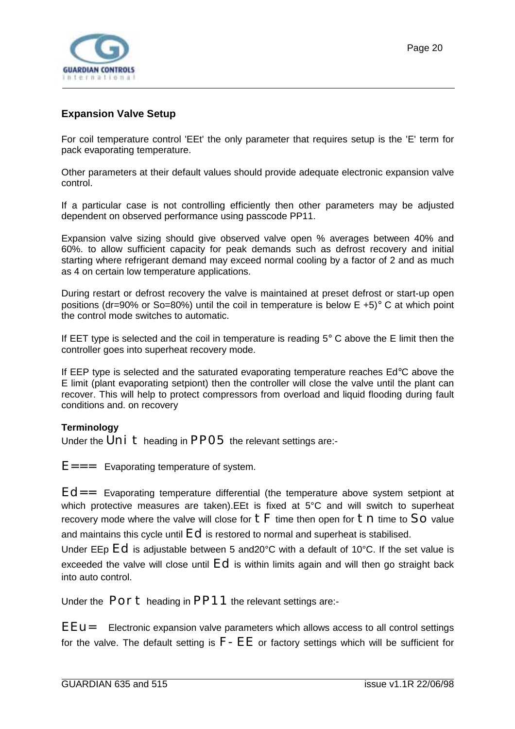<span id="page-19-0"></span>

#### **Expansion Valve Setup**

For coil temperature control 'EEt' the only parameter that requires setup is the 'E' term for pack evaporating temperature.

Other parameters at their default values should provide adequate electronic expansion valve control.

If a particular case is not controlling efficiently then other parameters may be adjusted dependent on observed performance using passcode PP11.

Expansion valve sizing should give observed valve open % averages between 40% and 60%. to allow sufficient capacity for peak demands such as defrost recovery and initial starting where refrigerant demand may exceed normal cooling by a factor of 2 and as much as 4 on certain low temperature applications.

During restart or defrost recovery the valve is maintained at preset defrost or start-up open positions (dr=90% or So=80%) until the coil in temperature is below  $E + 5$ ° C at which point the control mode switches to automatic.

If EET type is selected and the coil in temperature is reading  $5^\circ$  C above the E limit then the controller goes into superheat recovery mode.

If EEP type is selected and the saturated evaporating temperature reaches Ed°C above the E limit (plant evaporating setpiont) then the controller will close the valve until the plant can recover. This will help to protect compressors from overload and liquid flooding during fault conditions and. on recovery

#### **Terminology**

Under the  $Uni$  theading in PP05 the relevant settings are:-

 $E=-$  Evaporating temperature of system.

 $Ed ==$  Evaporating temperature differential (the temperature above system setpiont at which protective measures are taken).EEt is fixed at 5°C and will switch to superheat recovery mode where the valve will close for  $tF$  time then open for  $tn$  time to SO value and maintains this cycle until Ed is restored to normal and superheat is stabilised.

Under EEp Ed is adjustable between 5 and20°C with a default of 10°C. If the set value is exceeded the valve will close until  $Ed$  is within limits again and will then go straight back into auto control.

Under the  $\overline{P}$ On  $\overline{t}$  heading in PP11 the relevant settings are:-

 $E = U =$  Electronic expansion valve parameters which allows access to all control settings for the valve. The default setting is  $F$  –  $EE$  or factory settings which will be sufficient for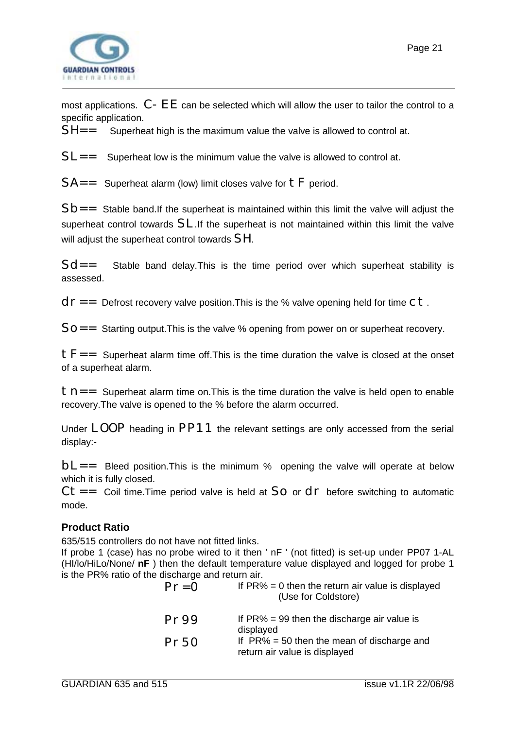<span id="page-20-0"></span>

most applications.  $C$  –  $E$   $E$  can be selected which will allow the user to tailor the control to a specific application.

 $SH=-$  Superheat high is the maximum value the valve is allowed to control at.

 $SL ==$  Superheat low is the minimum value the valve is allowed to control at.

 $SA =$  Superheat alarm (low) limit closes valve for  $tF$  period.

 $Sb==$  Stable band. If the superheat is maintained within this limit the valve will adjust the superheat control towards SL.If the superheat is not maintained within this limit the valve will adjust the superheat control towards SH.

 $Sd==$  Stable band delay. This is the time period over which superheat stability is assessed.

 $d\Gamma =$  Defrost recovery valve position. This is the % valve opening held for time C t.

 $SO = 5$  Starting output. This is the valve % opening from power on or superheat recovery.

 $t =$  Superheat alarm time off. This is the time duration the valve is closed at the onset of a superheat alarm.

 $t - t$  Superheat alarm time on. This is the time duration the valve is held open to enable recovery.The valve is opened to the % before the alarm occurred.

Under LOOP heading in PP11 the relevant settings are only accessed from the serial display:-

 $bL ==$  Bleed position. This is the minimum % opening the valve will operate at below which it is fully closed.

 $Ct ==$  Coil time. Time period valve is held at SO or  $d\Gamma$  before switching to automatic mode.

#### **Product Ratio**

635/515 controllers do not have not fitted links.

If probe 1 (case) has no probe wired to it then ' nF ' (not fitted) is set-up under PP07 1-AL (HI/lo/HiLo/None/ **nF** ) then the default temperature value displayed and logged for probe 1 is the PR% ratio of the discharge and return air.

| $Pr = 0$ | If $PR\% = 0$ then the return air value is displayed<br>(Use for Coldstore)    |
|----------|--------------------------------------------------------------------------------|
| Pr99     | If $PR\% = 99$ then the discharge air value is<br>displayed                    |
| Pr50     | If $PR\% = 50$ then the mean of discharge and<br>return air value is displayed |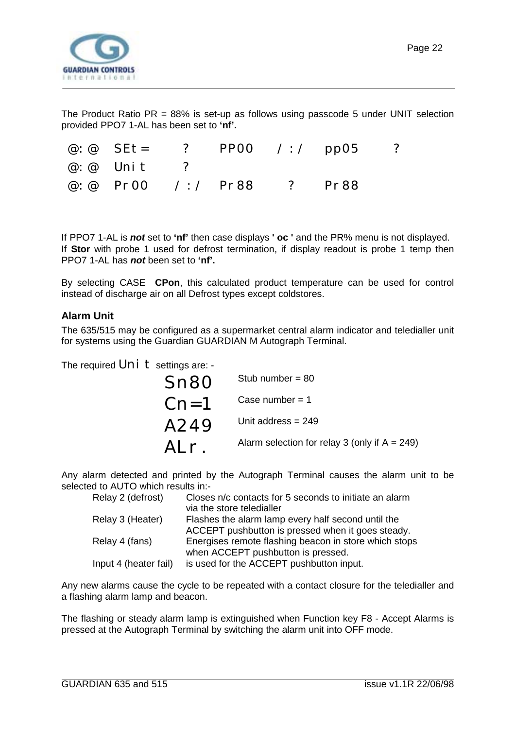<span id="page-21-0"></span>

The Product Ratio  $PR = 88\%$  is set-up as follows using passcode 5 under UNIT selection provided PPO7 1-AL has been set to **'nf'.**

| @: @ SEt= ? PP00 /:/ pp05  |  |  | $\overline{\phantom{a}}$ |
|----------------------------|--|--|--------------------------|
| $\omega$ : $\omega$ Unit ? |  |  |                          |
| @:@ Pr00 /:/ Pr88 ? Pr88   |  |  |                          |

If PPO7 1-AL is *not* set to **'nf'** then case displays **' oc '** and the PR% menu is not displayed. If **Stor** with probe 1 used for defrost termination, if display readout is probe 1 temp then PPO7 1-AL has *not* been set to **'nf'.**

By selecting CASE **CPon**, this calculated product temperature can be used for control instead of discharge air on all Defrost types except coldstores.

#### **Alarm Unit**

The 635/515 may be configured as a supermarket central alarm indicator and teledialler unit for systems using the Guardian GUARDIAN M Autograph Terminal.

The required  $Uni$   $t$  settings are: -

| Sn80   | Stub number = $80$                               |
|--------|--------------------------------------------------|
| $Cn=1$ | Case number = $1$                                |
| A249   | Unit address $= 249$                             |
| ALr.   | Alarm selection for relay 3 (only if $A = 249$ ) |

Any alarm detected and printed by the Autograph Terminal causes the alarm unit to be selected to AUTO which results in:-

| Relay 2 (defrost)     | Closes n/c contacts for 5 seconds to initiate an alarm<br>via the store teledialler                     |
|-----------------------|---------------------------------------------------------------------------------------------------------|
| Relay 3 (Heater)      | Flashes the alarm lamp every half second until the<br>ACCEPT pushbutton is pressed when it goes steady. |
| Relay 4 (fans)        | Energises remote flashing beacon in store which stops<br>when ACCEPT pushbutton is pressed.             |
| Input 4 (heater fail) | is used for the ACCEPT pushbutton input.                                                                |

Any new alarms cause the cycle to be repeated with a contact closure for the teledialler and a flashing alarm lamp and beacon.

The flashing or steady alarm lamp is extinguished when Function key F8 - Accept Alarms is pressed at the Autograph Terminal by switching the alarm unit into OFF mode.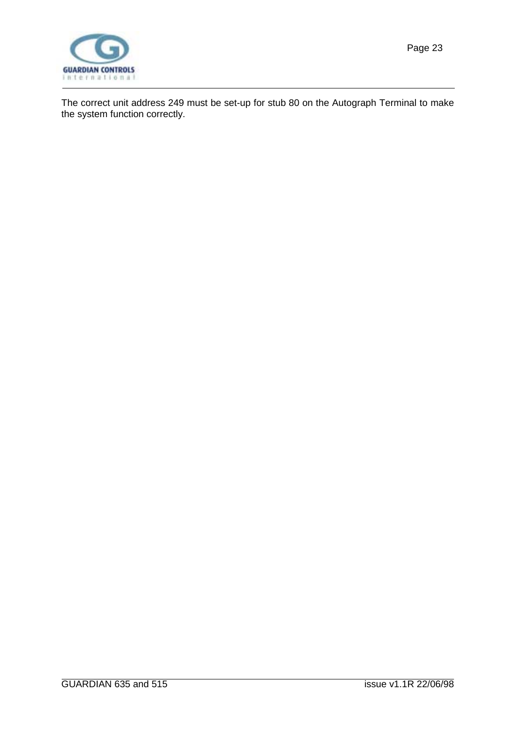

The correct unit address 249 must be set-up for stub 80 on the Autograph Terminal to make the system function correctly.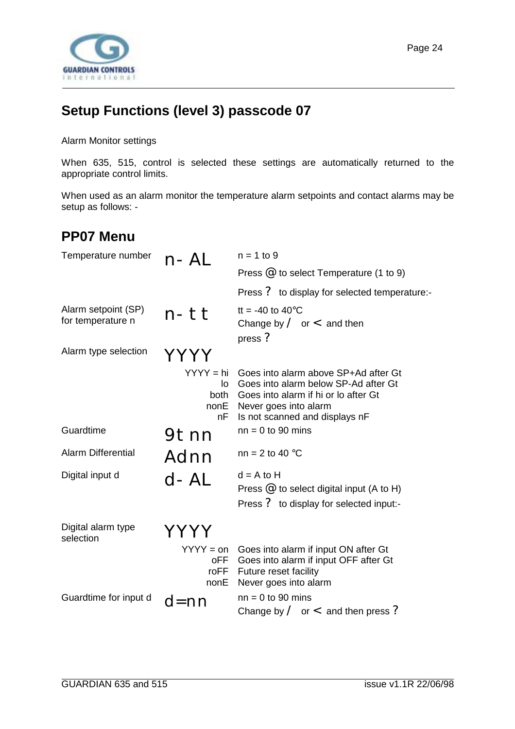<span id="page-23-0"></span>

# **Setup Functions (level 3) passcode 07**

Alarm Monitor settings

When 635, 515, control is selected these settings are automatically returned to the appropriate control limits.

When used as an alarm monitor the temperature alarm setpoints and contact alarms may be setup as follows: -

### **PP07 Menu**

| Temperature number                       | n-AL                                      | $n = 1$ to 9                                                                                                                                                                    |
|------------------------------------------|-------------------------------------------|---------------------------------------------------------------------------------------------------------------------------------------------------------------------------------|
|                                          |                                           | Press $@$ to select Temperature (1 to 9)                                                                                                                                        |
|                                          |                                           | Press ? to display for selected temperature:-                                                                                                                                   |
| Alarm setpoint (SP)<br>for temperature n | n-tt                                      | tt = -40 to 40 $^{\circ}$ C<br>Change by $\angle$ or $\lt$ and then<br>press ?                                                                                                  |
| Alarm type selection                     |                                           |                                                                                                                                                                                 |
|                                          | $YYYY = hi$<br>lo<br>both<br>nonE<br>nF   | Goes into alarm above SP+Ad after Gt<br>Goes into alarm below SP-Ad after Gt<br>Goes into alarm if hi or lo after Gt<br>Never goes into alarm<br>Is not scanned and displays nF |
| Guardtime                                | 9tnn                                      | $nn = 0$ to 90 mins                                                                                                                                                             |
| <b>Alarm Differential</b>                | Adnn                                      | nn = 2 to 40 $^{\circ}$ C                                                                                                                                                       |
| Digital input d                          | $d - AL$                                  | $d = A$ to $H$<br>Press $@$ to select digital input (A to H)<br>Press ? to display for selected input:-                                                                         |
| Digital alarm type<br>selection          |                                           |                                                                                                                                                                                 |
|                                          | $YYYY = on$<br><b>oFF</b><br>roFF<br>nonE | Goes into alarm if input ON after Gt<br>Goes into alarm if input OFF after Gt<br>Future reset facility<br>Never goes into alarm                                                 |
| Guardtime for input d                    | d=nn                                      | $nn = 0$ to 90 mins<br>Change by $\angle$ or $\lt$ and then press ?                                                                                                             |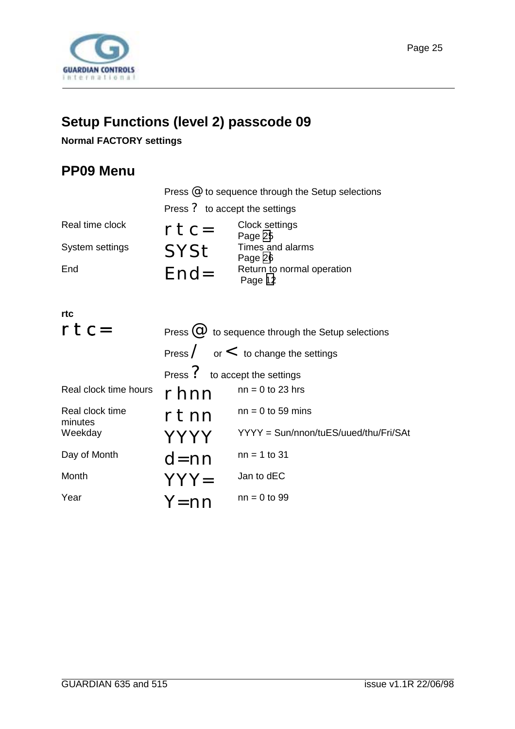<span id="page-24-0"></span>

# **Setup Functions (level 2) passcode 09**

#### **Normal FACTORY settings**

# **PP09 Menu**

|                 | Press $@$ to sequence through the Setup selections |                                       |  |
|-----------------|----------------------------------------------------|---------------------------------------|--|
|                 | Press ? to accept the settings                     |                                       |  |
| Real time clock | $rtc=$                                             | Clock settings<br>Page 25             |  |
| System settings | <b>SYSt</b>                                        | Times and alarms<br>Page 26           |  |
| End             | $End=$                                             | Return to normal operation<br>Page 12 |  |
|                 |                                                    |                                       |  |

| rtc                        |                                |                                                         |
|----------------------------|--------------------------------|---------------------------------------------------------|
| $rtc=$                     |                                | Press $\omega$ to sequence through the Setup selections |
|                            |                                | Press $\angle$ or $\lt$ to change the settings          |
|                            | Press ? to accept the settings |                                                         |
| Real clock time hours      | rhnn                           | $nn = 0$ to 23 hrs                                      |
| Real clock time<br>minutes | rtnn                           | $nn = 0$ to 59 mins                                     |
| Weekday                    | <b>YYYY</b>                    | YYYY = Sun/nnon/tuES/uued/thu/Fri/SAt                   |
| Day of Month               | $d=nn$                         | $nn = 1$ to 31                                          |
| Month                      | $YYY=$                         | Jan to dEC                                              |
| Year                       | $Y = nn$                       | $nn = 0$ to 99                                          |
|                            |                                |                                                         |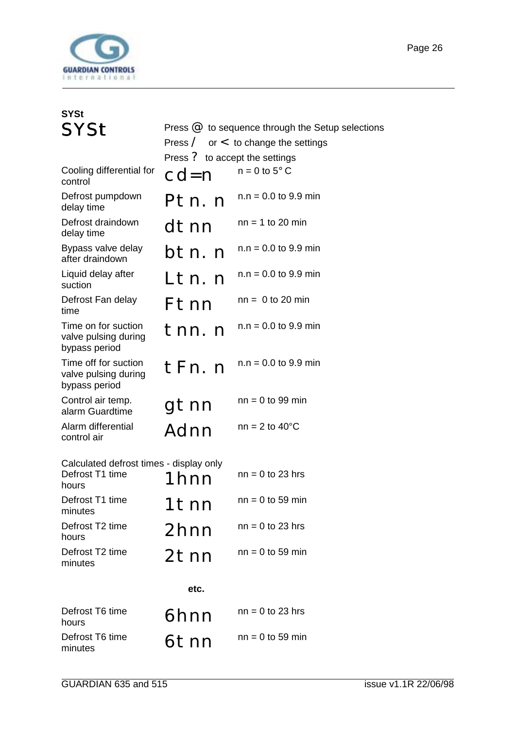<span id="page-25-0"></span>

| <b>SYSt</b>                                                         |                                |                                                                                                      |
|---------------------------------------------------------------------|--------------------------------|------------------------------------------------------------------------------------------------------|
| <b>SYSt</b>                                                         | Press ? to accept the settings | Press $@$ to sequence through the Setup selections<br>Press $\angle$ or $\lt$ to change the settings |
| Cooling differential for<br>control                                 | $cd = n$                       | $n = 0$ to 5° C                                                                                      |
| Defrost pumpdown<br>delay time                                      | Ptn.n                          | $n.n = 0.0$ to 9.9 min                                                                               |
| Defrost draindown<br>delay time                                     | dtnn                           | $nn = 1$ to 20 min                                                                                   |
| Bypass valve delay<br>after draindown                               | btn. n                         | $n.n = 0.0$ to 9.9 min                                                                               |
| Liquid delay after<br>suction                                       | Ltn.n                          | $n.n = 0.0$ to 9.9 min                                                                               |
| Defrost Fan delay<br>time                                           | Ftnn                           | $nn = 0$ to 20 min                                                                                   |
| Time on for suction<br>valve pulsing during<br>bypass period        | tnn.n                          | $n.n = 0.0$ to 9.9 min                                                                               |
| Time off for suction<br>valve pulsing during<br>bypass period       | tFn.n                          | $n.n = 0.0$ to 9.9 min                                                                               |
| Control air temp.<br>alarm Guardtime                                | gtnn                           | $nn = 0$ to 99 min                                                                                   |
| Alarm differential<br>control air                                   | Adnn                           | $nn = 2$ to 40 $°C$                                                                                  |
| Calculated defrost times - display only<br>Defrost T1 time<br>hours | 1 hnn                          | $nn = 0$ to 23 hrs                                                                                   |
| Defrost T1 time<br>minutes                                          | 1tnn                           | $nn = 0$ to 59 min                                                                                   |
| Defrost T2 time<br>hours                                            | 2hnn                           | $nn = 0$ to 23 hrs                                                                                   |
| Defrost T2 time<br>minutes                                          | 2tnn                           | $nn = 0$ to 59 min                                                                                   |
|                                                                     | etc.                           |                                                                                                      |
| Defrost T6 time<br>hours                                            | 6hnn                           | $nn = 0$ to 23 hrs                                                                                   |
| Defrost T6 time<br>minutes                                          | 6tnn                           | $nn = 0$ to 59 min                                                                                   |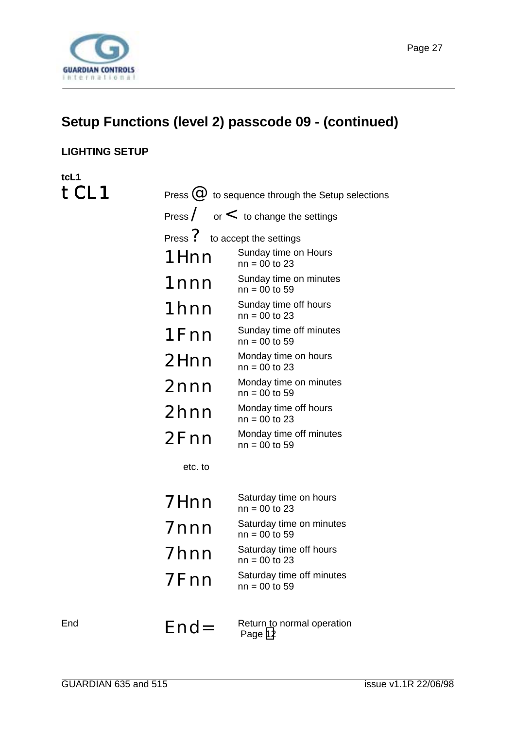<span id="page-26-0"></span>

# **Setup Functions (level 2) passcode 09 - (continued)**

#### **LIGHTING SETUP**

**tcL1** tCL1

|         | Press $\overline{\omega}$ to sequence through the Setup selections |
|---------|--------------------------------------------------------------------|
|         | Press $\angle$ or $\lt$ to change the settings                     |
|         | Press ? to accept the settings                                     |
| 1Hnn    | Sunday time on Hours<br>$nn = 00$ to 23                            |
| 1nnn    | Sunday time on minutes<br>$nn = 00$ to 59                          |
| 1hnn    | Sunday time off hours<br>$nn = 00$ to 23                           |
| 1Fnn    | Sunday time off minutes<br>$nn = 00$ to 59                         |
| 2Hnn    | Monday time on hours<br>$nn = 00$ to 23                            |
| 2nnn    | Monday time on minutes<br>$nn = 00$ to 59                          |
| 2hnn    | Monday time off hours<br>$nn = 00$ to 23                           |
| 2Fnn    | Monday time off minutes<br>$nn = 00$ to 59                         |
| etc. to |                                                                    |
| 7Hnn    | Saturday time on hours<br>$nn = 00$ to 23                          |
| 7nnn    | Saturday time on minutes<br>$nn = 00$ to 59                        |
| 7hnn    | Saturday time off hours<br>$nn = 00$ to 23                         |
| 7Fnn    | Saturday time off minutes<br>$nn = 00$ to 59                       |

Page [12](#page-11-0)

End  $E \cap d =$  Return to normal operation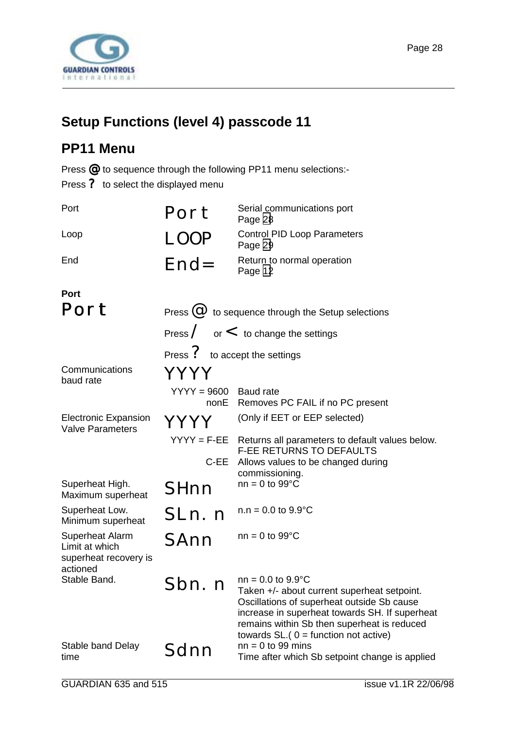<span id="page-27-0"></span>

# **Setup Functions (level 4) passcode 11**

# **PP11 Menu**

Press @ to sequence through the following PP11 menu selections:-

Press ? to select the displayed menu

| Port                                                                   | Port                                                    | Serial communications port<br>Page 28                                                                                                                                                                                                                                |  |
|------------------------------------------------------------------------|---------------------------------------------------------|----------------------------------------------------------------------------------------------------------------------------------------------------------------------------------------------------------------------------------------------------------------------|--|
| Loop                                                                   | LOOP                                                    | <b>Control PID Loop Parameters</b><br>Page 29                                                                                                                                                                                                                        |  |
| End                                                                    | $End=$                                                  | Return to normal operation<br>Page 12                                                                                                                                                                                                                                |  |
| Port                                                                   |                                                         |                                                                                                                                                                                                                                                                      |  |
| Port                                                                   | Press $\omega$ to sequence through the Setup selections |                                                                                                                                                                                                                                                                      |  |
|                                                                        |                                                         | Press $\angle$ or $\lt$ to change the settings                                                                                                                                                                                                                       |  |
|                                                                        | Press ? to accept the settings                          |                                                                                                                                                                                                                                                                      |  |
| Communications<br>baud rate                                            | YYYY                                                    |                                                                                                                                                                                                                                                                      |  |
|                                                                        | $YYYY = 9600$<br>nonE                                   | Baud rate<br>Removes PC FAIL if no PC present                                                                                                                                                                                                                        |  |
| <b>Electronic Expansion</b><br><b>Valve Parameters</b>                 | YYYY                                                    | (Only if EET or EEP selected)                                                                                                                                                                                                                                        |  |
|                                                                        | $YYYY = F-EE$                                           | Returns all parameters to default values below.<br><b>F-EE RETURNS TO DEFAULTS</b>                                                                                                                                                                                   |  |
|                                                                        | C-EE                                                    | Allows values to be changed during<br>commissioning.                                                                                                                                                                                                                 |  |
| Superheat High.<br>Maximum superheat                                   | SHnn                                                    | $nn = 0$ to 99 $°C$                                                                                                                                                                                                                                                  |  |
| Superheat Low.<br>Minimum superheat                                    | SLn. n                                                  | $n.n = 0.0$ to $9.9^{\circ}C$                                                                                                                                                                                                                                        |  |
| Superheat Alarm<br>Limit at which<br>superheat recovery is<br>actioned | SAnn                                                    | $nn = 0$ to 99 $°C$                                                                                                                                                                                                                                                  |  |
| Stable Band.                                                           | Sbn. n                                                  | $nn = 0.0$ to $9.9^{\circ}C$<br>Taken +/- about current superheat setpoint.<br>Oscillations of superheat outside Sb cause<br>increase in superheat towards SH. If superheat<br>remains within Sb then superheat is reduced<br>towards $SL(0)$ = function not active) |  |
| Stable band Delay<br>time                                              | Sdnn                                                    | $nn = 0$ to 99 mins<br>Time after which Sb setpoint change is applied                                                                                                                                                                                                |  |
|                                                                        |                                                         |                                                                                                                                                                                                                                                                      |  |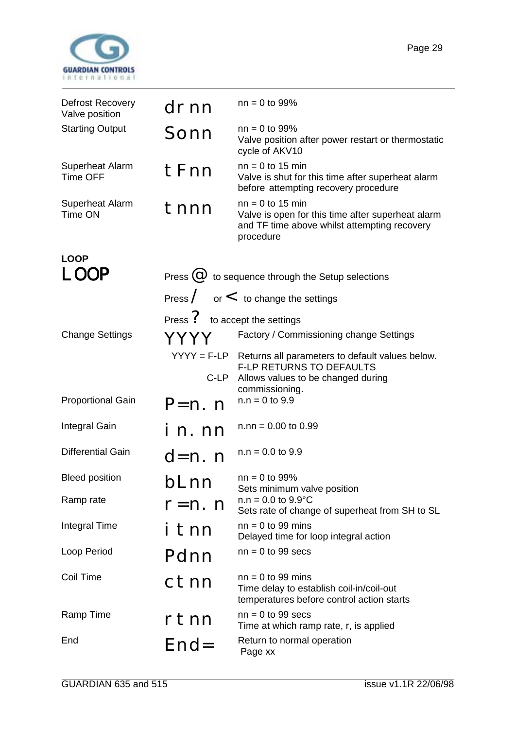<span id="page-28-0"></span>

| Defrost Recovery<br>Valve position        | drnn                           | $nn = 0$ to 99%                                                                                                                      |
|-------------------------------------------|--------------------------------|--------------------------------------------------------------------------------------------------------------------------------------|
| <b>Starting Output</b>                    | Sonn                           | $nn = 0$ to 99%<br>Valve position after power restart or thermostatic<br>cycle of AKV10                                              |
| <b>Superheat Alarm</b><br><b>Time OFF</b> | tFnn                           | $nn = 0$ to 15 min<br>Valve is shut for this time after superheat alarm<br>before attempting recovery procedure                      |
| <b>Superheat Alarm</b><br>Time ON         | tnnn                           | $nn = 0$ to 15 min<br>Valve is open for this time after superheat alarm<br>and TF time above whilst attempting recovery<br>procedure |
| <b>LOOP</b>                               |                                |                                                                                                                                      |
| LOOP                                      |                                | Press $\omega$ to sequence through the Setup selections                                                                              |
|                                           |                                | Press $\angle$ or $\lt$ to change the settings                                                                                       |
|                                           | Press ? to accept the settings |                                                                                                                                      |
| <b>Change Settings</b>                    | YYYY                           | Factory / Commissioning change Settings                                                                                              |
|                                           | $YYYY = F-LP$<br>C-LP          | Returns all parameters to default values below.<br><b>F-LP RETURNS TO DEFAULTS</b><br>Allows values to be changed during             |
| <b>Proportional Gain</b>                  | $P=n.$ n                       | commissioning.<br>$n.n = 0$ to 9.9                                                                                                   |
| Integral Gain                             | i n. nn                        | $n.nn = 0.00$ to 0.99                                                                                                                |
| <b>Differential Gain</b>                  | $d=n.$ n                       | $n.n = 0.0$ to 9.9                                                                                                                   |
| <b>Bleed position</b>                     | bLnn                           | $nn = 0$ to 99%<br>Sets minimum valve position                                                                                       |
| Ramp rate                                 | $r=n. n$                       | $n.n = 0.0$ to $9.9^{\circ}C$<br>Sets rate of change of superheat from SH to SL                                                      |
| <b>Integral Time</b>                      | tnn                            | $nn = 0$ to 99 mins<br>Delayed time for loop integral action                                                                         |
| Loop Period                               | Pdnn                           | $nn = 0$ to 99 secs                                                                                                                  |
| Coil Time                                 | ctnn                           | $nn = 0$ to 99 mins<br>Time delay to establish coil-in/coil-out<br>temperatures before control action starts                         |
| Ramp Time                                 | rtnn                           | $nn = 0$ to 99 secs<br>Time at which ramp rate, r, is applied                                                                        |
| End                                       | $End=$                         | Return to normal operation<br>Page xx                                                                                                |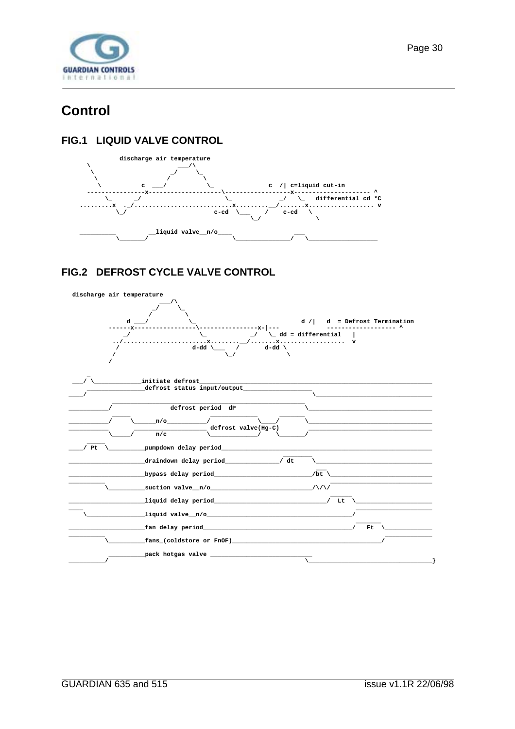<span id="page-29-0"></span>

# **Control**

#### FIG.1 LIQUID VALVE CONTROL



#### FIG.2 DEFROST CYCLE VALVE CONTROL

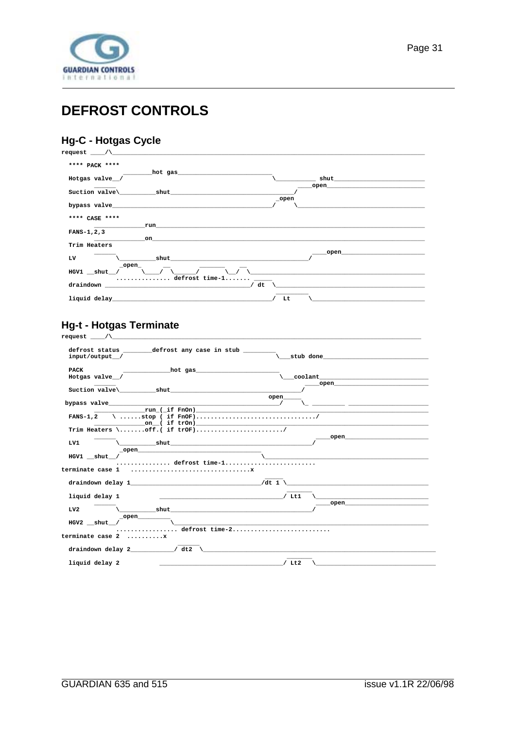<span id="page-30-0"></span>

# **DEFROST CONTROLS**

### Hg-C - Hotgas Cycle

| $request$ $\qquad$ $\wedge$ $\qquad$ $\qquad$ $\qquad$ $\qquad$ $\qquad$ $\qquad$ $\qquad$ $\qquad$ $\qquad$ $\qquad$ $\qquad$ $\qquad$ $\qquad$ $\qquad$ $\qquad$ $\qquad$ $\qquad$ $\qquad$ $\qquad$ $\qquad$ $\qquad$ $\qquad$ $\qquad$ $\qquad$ $\qquad$ $\qquad$ $\qquad$ $\qquad$ $\qquad$ $\qquad$ $\qquad$ $\qquad$ $\qquad$ $\qquad$                                                                                                                                                                                      |                                                                                                                                                                                                                                |
|------------------------------------------------------------------------------------------------------------------------------------------------------------------------------------------------------------------------------------------------------------------------------------------------------------------------------------------------------------------------------------------------------------------------------------------------------------------------------------------------------------------------------------|--------------------------------------------------------------------------------------------------------------------------------------------------------------------------------------------------------------------------------|
| **** PACK ****                                                                                                                                                                                                                                                                                                                                                                                                                                                                                                                     |                                                                                                                                                                                                                                |
| hot gas and the second state of the second state of the second state of the second state of the second state o<br>Hotgas valve_/                                                                                                                                                                                                                                                                                                                                                                                                   |                                                                                                                                                                                                                                |
| Suction valve\ shut                                                                                                                                                                                                                                                                                                                                                                                                                                                                                                                | open and the contract of the contract of the contract of the contract of the contract of the contract of the contract of the contract of the contract of the contract of the contract of the contract of the contract of the c |
| bypass valve the contract of the contract of the contract of the contract of the contract of the contract of the contract of the contract of the contract of the contract of the contract of the contract of the contract of t                                                                                                                                                                                                                                                                                                     | _open                                                                                                                                                                                                                          |
| **** CASE ****                                                                                                                                                                                                                                                                                                                                                                                                                                                                                                                     |                                                                                                                                                                                                                                |
| run<br>$FANS-1, 2, 3$<br>on                                                                                                                                                                                                                                                                                                                                                                                                                                                                                                        |                                                                                                                                                                                                                                |
| Trim Heaters                                                                                                                                                                                                                                                                                                                                                                                                                                                                                                                       | open                                                                                                                                                                                                                           |
| shut and the short of the state of the state of the state of the state of the state of the state of the state o<br>LV<br>_open_                                                                                                                                                                                                                                                                                                                                                                                                    |                                                                                                                                                                                                                                |
| $HGV1$ $\underline{\quad}$ shut /<br>$\ldots$ defrost time-1                                                                                                                                                                                                                                                                                                                                                                                                                                                                       |                                                                                                                                                                                                                                |
| $\begin{minipage}[c]{0.9\linewidth} \texttt{draindown} \end{minipage} \begin{minipage}[c]{0.9\linewidth} \texttt{draindown} \end{minipage} \begin{minipage}[c]{0.9\linewidth} \texttt{draindown} \end{minipage} \begin{minipage}[c]{0.9\linewidth} \texttt{draindown} \end{minipage} \begin{minipage}[c]{0.9\linewidth} \texttt{draindown} \end{minipage} \begin{minipage}[c]{0.9\linewidth} \texttt{draindown} \end{minipage} \begin{minipage}[c]{0.9\linewidth} \texttt{draindown} \end{minipage} \begin{minipage}[c]{0$<br>/ dt |                                                                                                                                                                                                                                |
|                                                                                                                                                                                                                                                                                                                                                                                                                                                                                                                                    | Lt                                                                                                                                                                                                                             |

# Hg-t - Hotgas Terminate

| defrost status by defrost any case in stub                                                                                                                                                                                     |
|--------------------------------------------------------------------------------------------------------------------------------------------------------------------------------------------------------------------------------|
| stub done                                                                                                                                                                                                                      |
| hot gas                                                                                                                                                                                                                        |
|                                                                                                                                                                                                                                |
| $\overline{\phantom{a}}$ open $\overline{\phantom{a}}$<br>Suction valve\ shut shut                                                                                                                                             |
| open                                                                                                                                                                                                                           |
| bypass valve $/$                                                                                                                                                                                                               |
|                                                                                                                                                                                                                                |
|                                                                                                                                                                                                                                |
| Trim Heaters \off.( if $trOF)$ /                                                                                                                                                                                               |
| open and the contract of the contract of the contract of the contract of the contract of the contract of the contract of the contract of the contract of the contract of the contract of the contract of the contract of the c |
| $\setminus$ shut shut $\setminus$                                                                                                                                                                                              |
|                                                                                                                                                                                                                                |
|                                                                                                                                                                                                                                |
| defrost time-1                                                                                                                                                                                                                 |
|                                                                                                                                                                                                                                |
| draindown delay 1 $/dt$ 1 $\sim$                                                                                                                                                                                               |
| <u> 1980 - Jan Barnett, mars et al. (</u> † 1900)                                                                                                                                                                              |
| open and the contract of the contract of the contract of the contract of the contract of the contract of the contract of the contract of the contract of the contract of the contract of the contract of the contract of the c |
|                                                                                                                                                                                                                                |
|                                                                                                                                                                                                                                |
|                                                                                                                                                                                                                                |
| defrost time-2                                                                                                                                                                                                                 |
| draindown delay $2 \qquad \qquad$ dt2 \                                                                                                                                                                                        |
|                                                                                                                                                                                                                                |
|                                                                                                                                                                                                                                |
|                                                                                                                                                                                                                                |

 $\overline{\phantom{0}}$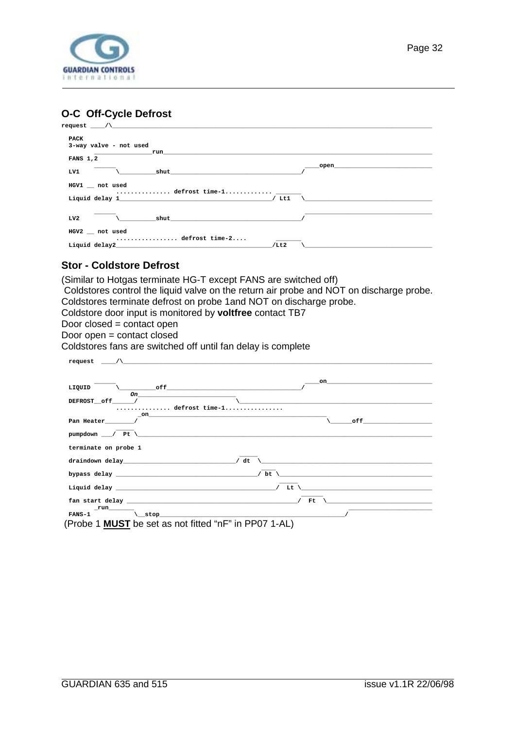<span id="page-31-0"></span>

#### **O-C Off-Cycle Defrost**

| PACK                                                                                                                                                                                                                                   |                                                                                                                                                                                                                                |
|----------------------------------------------------------------------------------------------------------------------------------------------------------------------------------------------------------------------------------------|--------------------------------------------------------------------------------------------------------------------------------------------------------------------------------------------------------------------------------|
| 3-way valve - not used                                                                                                                                                                                                                 |                                                                                                                                                                                                                                |
|                                                                                                                                                                                                                                        |                                                                                                                                                                                                                                |
| <b>FANS 1,2</b>                                                                                                                                                                                                                        |                                                                                                                                                                                                                                |
| shut and the short of the short of the short of the short of the short of the short of the short of the short<br>LV1                                                                                                                   | open and the contract of the contract of the contract of the contract of the contract of the contract of the contract of the contract of the contract of the contract of the contract of the contract of the contract of the c |
| HGV1 not used                                                                                                                                                                                                                          |                                                                                                                                                                                                                                |
| Liquid delay 1<br>$/$ Ltl                                                                                                                                                                                                              |                                                                                                                                                                                                                                |
| $\mathbf{shut}$<br>LV2                                                                                                                                                                                                                 |                                                                                                                                                                                                                                |
| HGV2 not used<br>defrost time-2                                                                                                                                                                                                        |                                                                                                                                                                                                                                |
| Liquid delay2 and the contract of the contract of the contract of the contract of the contract of the contract of the contract of the contract of the contract of the contract of the contract of the contract of the contract<br>/Lt2 |                                                                                                                                                                                                                                |

#### **Stor - Coldstore Defrost**

(Similar to Hotgas terminate HG-T except FANS are switched off)

 Coldstores control the liquid valve on the return air probe and NOT on discharge probe. Coldstores terminate defrost on probe 1and NOT on discharge probe.

Coldstore door input is monitored by **voltfree** contact TB7

Door closed = contact open

Door open = contact closed

Coldstores fans are switched off until fan delay is complete

| $r$ equest $\qquad \wedge$                                                                                      |                                                                                                                                                                                                                               |
|-----------------------------------------------------------------------------------------------------------------|-------------------------------------------------------------------------------------------------------------------------------------------------------------------------------------------------------------------------------|
|                                                                                                                 |                                                                                                                                                                                                                               |
|                                                                                                                 | on                                                                                                                                                                                                                            |
| $LIQUID$ $\qquad \qquad$ off<br>the contract of the contract of the contract of the contract of the contract of |                                                                                                                                                                                                                               |
| DEFROST__off______/                                                                                             |                                                                                                                                                                                                                               |
| defrost time-1                                                                                                  |                                                                                                                                                                                                                               |
| $\mathbf{on}$<br>Pan Heater_______/                                                                             | of f                                                                                                                                                                                                                          |
| $pumpdown$ $\qquad$ $p$ $p$ $p$                                                                                 |                                                                                                                                                                                                                               |
| terminate on probe 1                                                                                            |                                                                                                                                                                                                                               |
| / dt                                                                                                            |                                                                                                                                                                                                                               |
| $/$ bt $\vee$                                                                                                   | the control of the control of the control of the control of the control of the control of the control of the control of the control of the control of the control of the control of the control of the control of the control |
|                                                                                                                 | $\mathbf{L}$ t \                                                                                                                                                                                                              |
|                                                                                                                 | Ft.                                                                                                                                                                                                                           |
|                                                                                                                 |                                                                                                                                                                                                                               |
|                                                                                                                 |                                                                                                                                                                                                                               |
| $(Dr0ba1$ MIIRT be est as not fitted "n $E$ " in DD07.4. AL)                                                    |                                                                                                                                                                                                                               |

(Probe 1 **MUST** be set as not fitted "nF" in PP07 1-AL)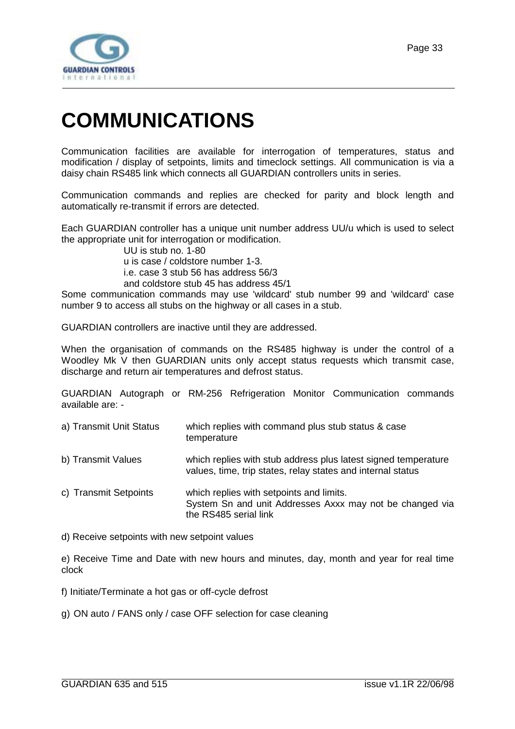<span id="page-32-0"></span>

# **COMMUNICATIONS**

Communication facilities are available for interrogation of temperatures, status and modification / display of setpoints, limits and timeclock settings. All communication is via a daisy chain RS485 link which connects all GUARDIAN controllers units in series.

Communication commands and replies are checked for parity and block length and automatically re-transmit if errors are detected.

Each GUARDIAN controller has a unique unit number address UU/u which is used to select the appropriate unit for interrogation or modification.

UU is stub no. 1-80 u is case / coldstore number 1-3. i.e. case 3 stub 56 has address 56/3 and coldstore stub 45 has address 45/1

Some communication commands may use 'wildcard' stub number 99 and 'wildcard' case number 9 to access all stubs on the highway or all cases in a stub.

GUARDIAN controllers are inactive until they are addressed.

When the organisation of commands on the RS485 highway is under the control of a Woodley Mk V then GUARDIAN units only accept status requests which transmit case, discharge and return air temperatures and defrost status.

GUARDIAN Autograph or RM-256 Refrigeration Monitor Communication commands available are: -

- a) Transmit Unit Status which replies with command plus stub status & case temperature
- b) Transmit Values which replies with stub address plus latest signed temperature values, time, trip states, relay states and internal status
- c) Transmit Setpoints which replies with setpoints and limits. System Sn and unit Addresses Axxx may not be changed via the RS485 serial link
- d) Receive setpoints with new setpoint values

e) Receive Time and Date with new hours and minutes, day, month and year for real time clock

- f) Initiate/Terminate a hot gas or off-cycle defrost
- g) ON auto / FANS only / case OFF selection for case cleaning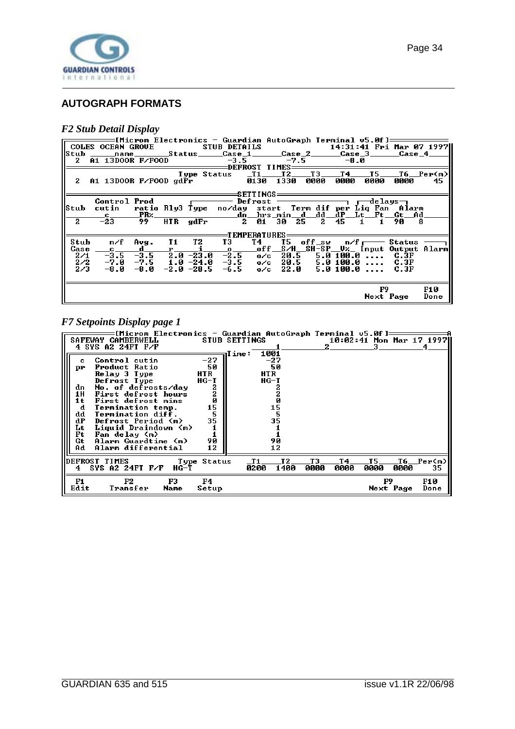<span id="page-33-0"></span>

#### **AUTOGRAPH FORMATS**

#### *F2 Stub Detail Display*

|              | 2 A1 13DOOR F/FOOD $-3.5$ $-7.5$ $-8.0$                                      |                |  | ——[Microm Electronics - Guardian AutoGraph Terminal v5.0f]—————                      |                |      |      |              |                                        |                   |
|--------------|------------------------------------------------------------------------------|----------------|--|--------------------------------------------------------------------------------------|----------------|------|------|--------------|----------------------------------------|-------------------|
|              | 2 A1 13D00R F/F00D gd $\overline{F}$ r $\overline{0}$ 130 1330               |                |  | Type Status _T1___T2___T3___T4_                                                      | ====SETTINGS=  | 0000 | 0000 | T5 —<br>0000 | 0000                                   | T6 Per(m) <br>45. |
|              | Control Prod $\qquad \qquad$ Defrost $\qquad \qquad$ rdelays $\qquad \qquad$ |                |  |                                                                                      |                |      |      |              |                                        |                   |
|              | Stub cutin  ratio Rly3 Type  no/day  start  Term dif per Liq Fan  Alarm      |                |  |                                                                                      |                |      |      |              |                                        |                   |
|              |                                                                              |                |  | _c ________PRz______________________dn __hrs _min __d___dd __dP __Lt __Ft __Gt __Ad_ |                |      |      |              |                                        |                   |
| $\mathbf{2}$ | $-23$                                                                        | 99.            |  | $HTR$ $gdFr$ 2 01 30 25 2 45 1 1                                                     |                |      |      |              | 90                                     | -8                |
|              |                                                                              |                |  |                                                                                      | =TEMPERATURES: |      |      |              |                                        |                   |
| Stub         |                                                                              | n⁄f Avg. T1 T2 |  | T 3                                                                                  | T4             |      |      |              | $TS$ off_sw $n/F$ $\rightarrow$ Status |                   |
| Case         |                                                                              |                |  | <u>c d r i o off S/H SH-SP Uz Input Output Alarm  </u>                               |                |      |      |              |                                        |                   |
| 2/1          |                                                                              |                |  | $-3.5$ $-3.5$ $2.0$ $-23.0$ $-2.5$ $0$ /c $20.5$ 5.0 100.0 C.3F                      |                |      |      |              |                                        |                   |
| 2/2          | $-7.0$ $-7.5$ 1.0 $-24.0$ $-3.5$ 0/c 20.5 5.0 100.0  C.3F                    |                |  |                                                                                      |                |      |      |              |                                        |                   |
| 2/3          | —8.0                                                                         |                |  | $-8.0$ $-2.0$ $-28.5$ $-6.5$ $o/c$ $22.0$ 5.0100.0 $C.3F$                            |                |      |      |              |                                        |                   |
|              |                                                                              |                |  |                                                                                      |                |      |      |              |                                        |                   |
|              |                                                                              |                |  |                                                                                      |                |      |      |              | F9 –                                   | F10               |
|              |                                                                              |                |  |                                                                                      |                |      |      |              | Next Page                              | Done              |

### *F7 Setpoints Display page 1*

| =[Microm Electronics — Guardian AutoGraph Terminal v5.0f]=<br>SAFEWAY<br><b>CAMBERWELL</b><br>4 SYS A2 24FT F/F                                                                                                                                                                                                                                                |                                                                   | <b>STUB SETTINGS</b>                                                          |                           | 10:02:41 Mon Mar 17 1997 |                 |
|----------------------------------------------------------------------------------------------------------------------------------------------------------------------------------------------------------------------------------------------------------------------------------------------------------------------------------------------------------------|-------------------------------------------------------------------|-------------------------------------------------------------------------------|---------------------------|--------------------------|-----------------|
| Control cutin<br>c<br>Product Ratio<br>рr<br>Relay 3 Type<br>Defrost Type<br>No. of defrosts/day<br>dn<br>1H<br>First defrost hours<br>First defrost mins<br>1t<br>Termination temp.<br>d<br>Termination diff.<br>dd<br>dP<br>Defrost Period (m)<br>Liquid Draindown (m)<br>Lt<br>Ft<br>Fan delay (m)<br>Gt<br>Alarm Guardtime (m)<br>Alarm differential<br>Ad | $-27$<br>50<br>HTR<br>HG-T<br>2<br>Ø<br>15<br>5<br>35<br>90<br>12 | 1001<br><b>Time:</b><br>-27<br>50<br>HTR<br>HG-T<br>15<br>5<br>35<br>90<br>12 |                           |                          |                 |
| <b>DEFROST TIMES</b><br>SYS A2 24FT F/F<br>HG-T<br>4.                                                                                                                                                                                                                                                                                                          | Type Status                                                       | Т2<br>-T1<br>0200<br>1400                                                     | тз<br>T 4<br>0000<br>0000 | T5<br>0000<br>0000       | T6 Per(m)<br>35 |
| F2<br>F1<br>F3<br>Edit<br>Transfer<br>Name                                                                                                                                                                                                                                                                                                                     | F4<br>Setup                                                       |                                                                               |                           | F9<br>Next Page          | F10<br>Done     |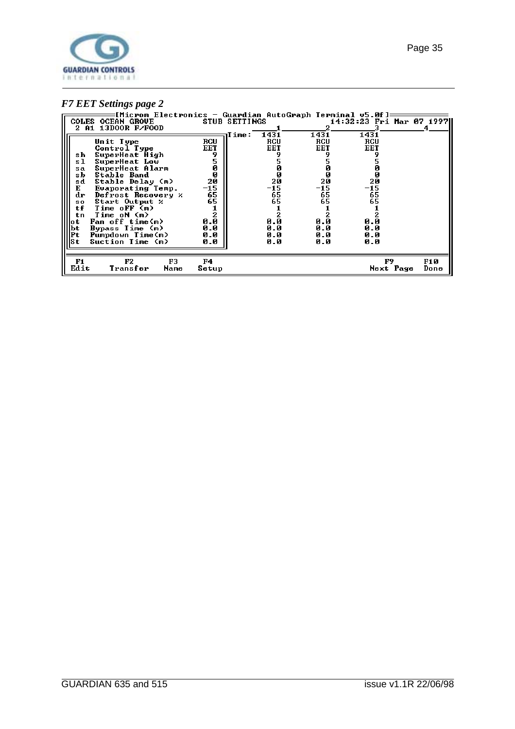

#### *F7 EET Settings page 2*

| [Microm Electronics — Guardian AutoGraph Terminal v5.0f]:<br><b>COLES OCEAN GROUE</b><br>2 A1 13DOOR F/FOOD |             | <b>STUB SETTINGS</b> |                    |             | 14:32:23 Fri Mar 07 1997 |             |
|-------------------------------------------------------------------------------------------------------------|-------------|----------------------|--------------------|-------------|--------------------------|-------------|
| Unit Type                                                                                                   | <b>RCU</b>  | Time:                | 1431<br><b>RCU</b> | 1431<br>RCU | 1431<br>RCU              |             |
| Control Type<br>SuperHeat High<br>sh                                                                        | EET         |                      | EET                | EET         | EET                      |             |
| SuperHeat Low<br>sl<br>SuperHeat Alarm<br>sa                                                                | Ø           |                      |                    |             |                          |             |
| Stable Band<br>sb<br>Stable Delay (m)<br>sd                                                                 | Ø<br>20     |                      | Ø<br>20            | Й<br>20     | ø<br>20                  |             |
| Е<br>Evaporating Temp.<br>Defrost Recovery %<br>dr                                                          | -15<br>65   |                      | $-15$<br>65        | -15<br>65   | -15<br>65                |             |
| Start Output %<br>SO.<br>tf<br>Time oFF (m)                                                                 | 65          |                      | 65                 | 65          | 65                       |             |
| Time oN (m)<br>tп<br>Fan off time(m)<br>lo t                                                                | 0.0         |                      | 0.0                | 0.0         | 0.0                      |             |
| Bypass Time (m)<br>lbt<br>Pumpdown Time(m)<br>Pt:                                                           | 0.0<br>0.0  |                      | 0.0<br>0.0         | 0.0<br>0.0  | 0.0<br>0.0               |             |
| Suction Time (m)<br>lSt                                                                                     | 0.0         |                      | 0.0                | 0.0         | 0.0                      |             |
| F2<br>F3<br>F1<br>Edit<br>Transfer<br>Name                                                                  | F4<br>Setup |                      |                    |             | F9<br>Next Page          | F10<br>Done |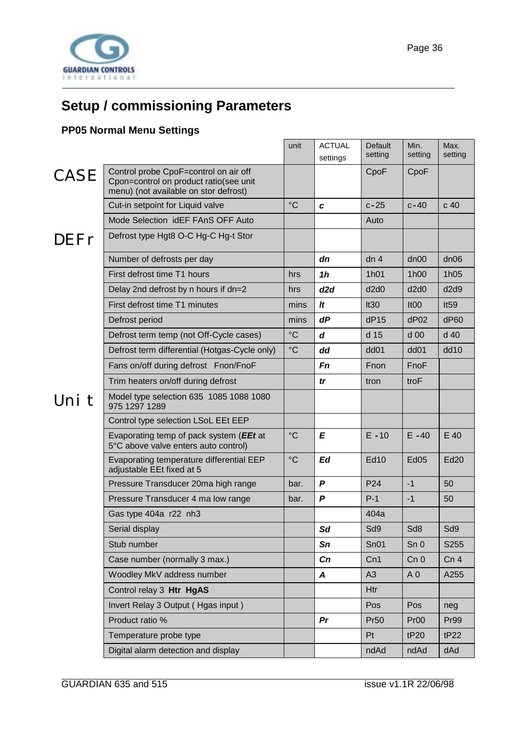<span id="page-35-0"></span>

# **Setup / commissioning Parameters**

### **PP05 Normal Menu Settings**

|             |                                                                                                                          | unit            | <b>ACTUAL</b><br>settings | Default<br>setting | Min.<br>setting  | Max.<br>setting |
|-------------|--------------------------------------------------------------------------------------------------------------------------|-----------------|---------------------------|--------------------|------------------|-----------------|
| <b>CASE</b> | Control probe CpoF=control on air off<br>Cpon=control on product ratio(see unit<br>menu) (not available on stor defrost) |                 |                           | CpoF               | CpoF             |                 |
|             | Cut-in setpoint for Liquid valve                                                                                         | $^{\circ}C$     | C                         | $c-25$             | $c-40$           | c <sub>40</sub> |
|             | Mode Selection idEF FAnS OFF Auto                                                                                        |                 |                           | Auto               |                  |                 |
| DEFr        | Defrost type Hgt8 O-C Hg-C Hg-t Stor                                                                                     |                 |                           |                    |                  |                 |
|             | Number of defrosts per day                                                                                               |                 | dn                        | dn <sub>4</sub>    | dn00             | dn06            |
|             | First defrost time T1 hours                                                                                              | hrs             | 1 <sub>h</sub>            | 1h01               | 1h00             | 1h05            |
|             | Delay 2nd defrost by n hours if dn=2                                                                                     | hrs             | d2d                       | d2d0               | d2d0             | d2d9            |
|             | First defrost time T1 minutes                                                                                            | mins            | It                        | It30               | It <sub>00</sub> | It59            |
|             | Defrost period                                                                                                           | mins            | dP                        | dP15               | dP02             | dP60            |
|             | Defrost term temp (not Off-Cycle cases)                                                                                  | $\rm ^{\circ}C$ | d                         | d 15               | d <sub>00</sub>  | d 40            |
|             | Defrost term differential (Hotgas-Cycle only)                                                                            | $\rm ^{\circ}C$ | dd                        | dd <sub>01</sub>   | dd <sub>01</sub> | dd10            |
|             | Fans on/off during defrost Fnon/FnoF                                                                                     |                 | Fn                        | Fnon               | FnoF             |                 |
|             | Trim heaters on/off during defrost                                                                                       |                 | tr                        | tron               | troF             |                 |
| Uni t       | Model type selection 635 1085 1088 1080<br>975 1297 1289                                                                 |                 |                           |                    |                  |                 |
|             | Control type selection LSoL EEt EEP                                                                                      |                 |                           |                    |                  |                 |
|             | Evaporating temp of pack system (EEt at<br>5°C above valve enters auto control)                                          | $^{\circ}C$     | E                         | $E - 10$           | $E - 40$         | E 40            |
|             | Evaporating temperature differential EEP<br>adjustable EEt fixed at 5                                                    | $^{\circ}C$     | Ed                        | <b>Ed10</b>        | Ed <sub>05</sub> | Ed20            |
|             | Pressure Transducer 20ma high range                                                                                      | bar.            | $\boldsymbol{P}$          | P <sub>24</sub>    | $-1$             | 50              |
|             | Pressure Transducer 4 ma low range                                                                                       | bar.            | P                         | $P-1$              | $-1$             | 50              |
|             | Gas type 404a r22 nh3                                                                                                    |                 |                           | 404a               |                  |                 |
|             | Serial display                                                                                                           |                 | Sd                        | Sd9                | Sd8              | Sd9             |
|             | Stub number                                                                                                              |                 | Sn                        | Sn01               | Sn <sub>0</sub>  | S255            |
|             | Case number (normally 3 max.)                                                                                            |                 | Cn                        | Cn1                | Cn <sub>0</sub>  | Cn <sub>4</sub> |
|             | Woodley MkV address number                                                                                               |                 | A                         | A3                 | A <sub>0</sub>   | A255            |
|             | Control relay 3 Htr HgAS                                                                                                 |                 |                           | Htr                |                  |                 |
|             | Invert Relay 3 Output (Hgas input)                                                                                       |                 |                           | Pos                | Pos              | neg             |
|             | Product ratio %                                                                                                          |                 | Pr                        | <b>Pr50</b>        | Pr <sub>00</sub> | Pr99            |
|             | Temperature probe type                                                                                                   |                 |                           | Pt                 | tP20             | tP22            |
|             | Digital alarm detection and display                                                                                      |                 |                           | ndAd               | ndAd             | dAd             |
|             |                                                                                                                          |                 |                           |                    |                  |                 |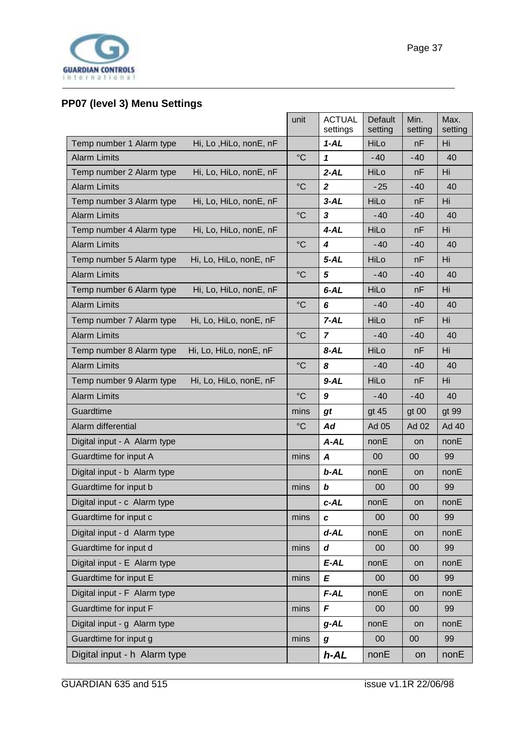<span id="page-36-0"></span>

### **PP07 (level 3) Menu Settings**

|                                                    | unit            | <b>ACTUAL</b><br>settings | Default<br>setting | Min.<br>setting | Max.<br>setting |
|----------------------------------------------------|-----------------|---------------------------|--------------------|-----------------|-----------------|
| Temp number 1 Alarm type<br>Hi, Lo, HiLo, nonE, nF |                 | $1 - AL$                  | HiLo               | nF              | Hi              |
| <b>Alarm Limits</b>                                | $\rm ^{\circ}C$ | 1                         | $-40$              | $-40$           | 40              |
| Temp number 2 Alarm type<br>Hi, Lo, HiLo, nonE, nF |                 | $2 - AL$                  | HiLo               | nF              | Hi              |
| <b>Alarm Limits</b>                                | $\rm ^{\circ}C$ | $\overline{2}$            | $-25$              | $-40$           | 40              |
| Temp number 3 Alarm type<br>Hi, Lo, HiLo, nonE, nF |                 | $3 - AL$                  | HiLo               | nF              | Hi              |
| <b>Alarm Limits</b>                                | $\rm ^{\circ}C$ | 3                         | $-40$              | $-40$           | 40              |
| Temp number 4 Alarm type<br>Hi, Lo, HiLo, nonE, nF |                 | $4 - AL$                  | HiLo               | nF              | Hi              |
| <b>Alarm Limits</b>                                | $\rm ^{\circ}C$ | 4                         | $-40$              | $-40$           | 40              |
| Temp number 5 Alarm type<br>Hi, Lo, HiLo, nonE, nF |                 | $5 - AL$                  | HiLo               | nF              | Hi              |
| <b>Alarm Limits</b>                                | $\rm ^{\circ}C$ | 5                         | $-40$              | $-40$           | 40              |
| Temp number 6 Alarm type<br>Hi, Lo, HiLo, nonE, nF |                 | $6 - AL$                  | HiLo               | nF              | Hi              |
| <b>Alarm Limits</b>                                | $\rm ^{\circ}C$ | 6                         | $-40$              | $-40$           | 40              |
| Temp number 7 Alarm type<br>Hi, Lo, HiLo, nonE, nF |                 | $7 - AL$                  | HiLo               | nF              | Hi              |
| <b>Alarm Limits</b>                                | $\rm ^{\circ}C$ | $\overline{7}$            | $-40$              | $-40$           | 40              |
| Hi, Lo, HiLo, nonE, nF<br>Temp number 8 Alarm type |                 | 8-AL                      | HiLo               | nF              | Hi              |
| <b>Alarm Limits</b>                                | $\rm ^{\circ}C$ | 8                         | $-40$              | $-40$           | 40              |
| Hi, Lo, HiLo, nonE, nF<br>Temp number 9 Alarm type |                 | $9 - AL$                  | HiLo               | nF              | Hi              |
| <b>Alarm Limits</b>                                | $\rm ^{\circ}C$ | 9                         | $-40$              | $-40$           | 40              |
| Guardtime                                          | mins            | gt                        | gt 45              | gt 00           | gt 99           |
| Alarm differential                                 | $\rm ^{\circ}C$ | Ad                        | Ad 05              | Ad 02           | Ad 40           |
| Digital input - A Alarm type                       |                 | A-AL                      | nonE               | on              | nonE            |
| Guardtime for input A                              | mins            | A                         | $00\,$             | 00              | 99              |
| Digital input - b Alarm type                       |                 | $b$ -AL                   | nonE               | on              | nonE            |
| Guardtime for input b                              | mins            | b                         | 00                 | 00              | 99              |
| Digital input - c Alarm type                       |                 | c-AL                      | nonE               | on              | nonE            |
| Guardtime for input c                              | mins            | C                         | 00                 | 00              | 99              |
| Digital input - d Alarm type                       |                 | $d-AL$                    | nonE               | on              | nonE            |
| Guardtime for input d                              | mins            | d                         | $00\,$             | $00\,$          | 99              |
| Digital input - E Alarm type                       |                 | E-AL                      | nonE               | on              | nonE            |
| Guardtime for input E                              | mins            | E                         | 00                 | $00\,$          | 99              |
| Digital input - F Alarm type                       |                 | F-AL                      | nonE               | on              | nonE            |
| Guardtime for input F                              | mins            | F                         | $00\,$             | 00              | 99              |
| Digital input - g Alarm type                       |                 | $g$ -AL                   | nonE               | on              | nonE            |
| Guardtime for input g                              | mins            | $\boldsymbol{g}$          | $00\,$             | $00\,$          | 99              |
| Digital input - h Alarm type                       |                 | $h$ -AL                   | nonE               | on              | nonE            |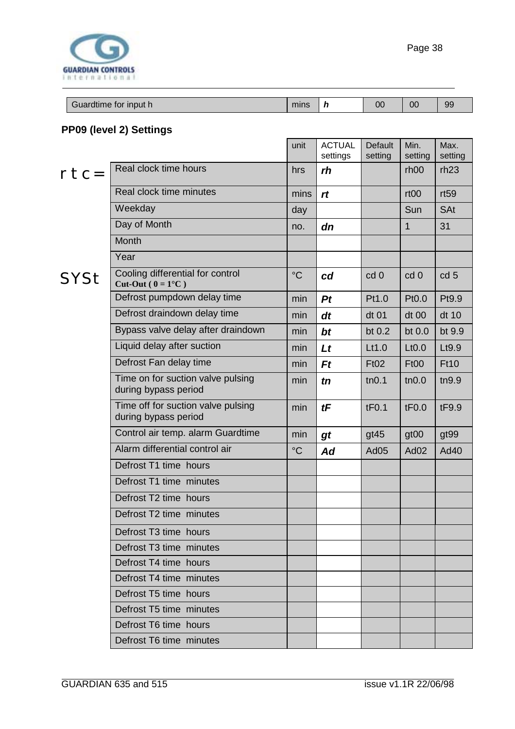<span id="page-37-0"></span>

| Guardtime for input h | mins | 00 | 00 | 99 |
|-----------------------|------|----|----|----|

### **PP09 (level 2) Settings**

|        |                                                            | unit            | <b>ACTUAL</b><br>settings | <b>Default</b><br>setting | Min.<br>setting    | Max.<br>setting |
|--------|------------------------------------------------------------|-----------------|---------------------------|---------------------------|--------------------|-----------------|
| $rtc=$ | Real clock time hours                                      | hrs             | rh                        |                           | rh <sub>00</sub>   | rh23            |
|        | Real clock time minutes                                    | mins            | rt                        |                           | rt <sub>00</sub>   | rt59            |
|        | Weekday                                                    | day             |                           |                           | Sun                | <b>SAt</b>      |
|        | Day of Month                                               | no.             | dn                        |                           | $\mathbf{1}$       | 31              |
|        | Month                                                      |                 |                           |                           |                    |                 |
|        | Year                                                       |                 |                           |                           |                    |                 |
| SYSt   | Cooling differential for control<br>Cut-Out ( $0 = 1$ °C)  | $\rm ^{\circ}C$ | cd                        | cd 0                      | cd 0               | cd <sub>5</sub> |
|        | Defrost pumpdown delay time                                | min             | Pt                        | Pt1.0                     | Pt0.0              | Pt9.9           |
|        | Defrost draindown delay time                               | min             | dt                        | dt 01                     | $dt$ 00            | dt 10           |
|        | Bypass valve delay after draindown                         | min             | bt                        | bt $0.2$                  | bt 0.0             | bt 9.9          |
|        | Liquid delay after suction                                 | min             | Lt                        | Lt1.0                     | L <sub>t</sub> 0.0 | Lt9.9           |
|        | Defrost Fan delay time                                     | min             | Ft                        | <b>Ft02</b>               | Ft00               | <b>Ft10</b>     |
|        | Time on for suction valve pulsing<br>during bypass period  | min             | tn                        | tn0.1                     | tn0.0              | tn9.9           |
|        | Time off for suction valve pulsing<br>during bypass period | min             | tF                        | tF0.1                     | tF0.0              | tF9.9           |
|        | Control air temp. alarm Guardtime                          | min             | gt                        | gt45                      | gt <sub>00</sub>   | gt99            |
|        | Alarm differential control air                             | $\rm ^{\circ}C$ | Ad                        | Ad <sub>05</sub>          | Ad <sub>02</sub>   | Ad40            |
|        | Defrost T1 time hours                                      |                 |                           |                           |                    |                 |
|        | Defrost T1 time minutes                                    |                 |                           |                           |                    |                 |
|        | Defrost T2 time hours                                      |                 |                           |                           |                    |                 |
|        | Defrost T2 time minutes                                    |                 |                           |                           |                    |                 |
|        | Defrost T3 time hours                                      |                 |                           |                           |                    |                 |
|        | Defrost T3 time minutes                                    |                 |                           |                           |                    |                 |
|        | Defrost T4 time hours                                      |                 |                           |                           |                    |                 |
|        | Defrost T4 time minutes                                    |                 |                           |                           |                    |                 |
|        | Defrost T5 time hours                                      |                 |                           |                           |                    |                 |
|        | Defrost T5 time minutes                                    |                 |                           |                           |                    |                 |
|        | Defrost T6 time hours                                      |                 |                           |                           |                    |                 |
|        | Defrost T6 time minutes                                    |                 |                           |                           |                    |                 |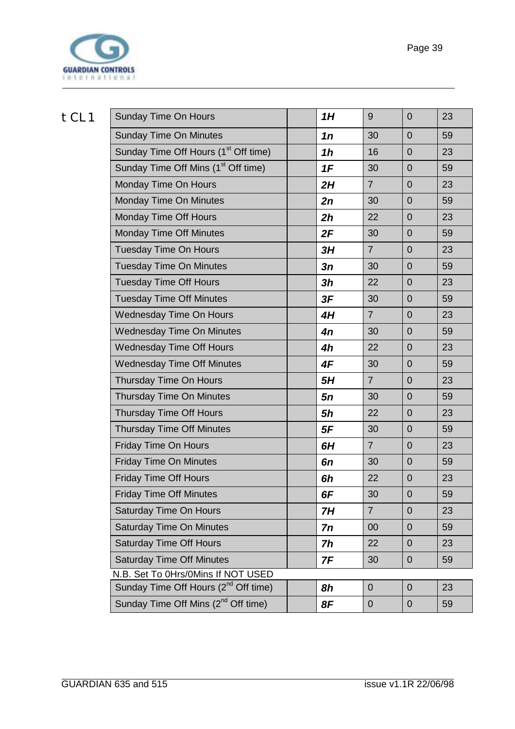

| tCL1 | <b>Sunday Time On Hours</b>                      | 1H             | 9              | $\overline{0}$ | 23 |
|------|--------------------------------------------------|----------------|----------------|----------------|----|
|      | <b>Sunday Time On Minutes</b>                    | 1n             | 30             | $\overline{0}$ | 59 |
|      | Sunday Time Off Hours (1 <sup>st</sup> Off time) | 1 <sub>h</sub> | 16             | $\overline{0}$ | 23 |
|      | Sunday Time Off Mins (1 <sup>st</sup> Off time)  | 1F             | 30             | $\overline{0}$ | 59 |
|      | Monday Time On Hours                             | 2H             | $\overline{7}$ | $\overline{0}$ | 23 |
|      | Monday Time On Minutes                           | 2n             | 30             | $\overline{0}$ | 59 |
|      | Monday Time Off Hours                            | 2h             | 22             | $\overline{0}$ | 23 |
|      | <b>Monday Time Off Minutes</b>                   | 2F             | 30             | $\overline{0}$ | 59 |
|      | <b>Tuesday Time On Hours</b>                     | 3H             | $\overline{7}$ | $\overline{0}$ | 23 |
|      | <b>Tuesday Time On Minutes</b>                   | 3n             | 30             | $\overline{0}$ | 59 |
|      | <b>Tuesday Time Off Hours</b>                    | 3h             | 22             | $\overline{0}$ | 23 |
|      | <b>Tuesday Time Off Minutes</b>                  | 3F             | 30             | $\overline{0}$ | 59 |
|      | Wednesday Time On Hours                          | 4H             | $\overline{7}$ | $\overline{0}$ | 23 |
|      | <b>Wednesday Time On Minutes</b>                 | 4n             | 30             | $\overline{0}$ | 59 |
|      | <b>Wednesday Time Off Hours</b>                  | 4h             | 22             | $\overline{0}$ | 23 |
|      | <b>Wednesday Time Off Minutes</b>                | 4F             | 30             | $\overline{0}$ | 59 |
|      | Thursday Time On Hours                           | 5H             | $\overline{7}$ | $\overline{0}$ | 23 |
|      | Thursday Time On Minutes                         | 5n             | 30             | $\overline{0}$ | 59 |
|      | Thursday Time Off Hours                          | 5h             | 22             | $\overline{0}$ | 23 |
|      | <b>Thursday Time Off Minutes</b>                 | 5F             | 30             | $\overline{0}$ | 59 |
|      | <b>Friday Time On Hours</b>                      | 6H             | $\overline{7}$ | $\overline{0}$ | 23 |
|      | <b>Friday Time On Minutes</b>                    | 6n             | 30             | $\overline{0}$ | 59 |
|      | <b>Friday Time Off Hours</b>                     | 6h             | 22             | $\overline{0}$ | 23 |
|      | <b>Friday Time Off Minutes</b>                   | 6F             | 30             | $\mathbf 0$    | 59 |
|      | Saturday Time On Hours                           | 7H             | $\overline{7}$ | $\overline{0}$ | 23 |
|      | <b>Saturday Time On Minutes</b>                  | 7n             | 00             | $\overline{0}$ | 59 |
|      | <b>Saturday Time Off Hours</b>                   | 7h             | 22             | $\overline{0}$ | 23 |
|      | <b>Saturday Time Off Minutes</b>                 | 7F             | 30             | $\mathbf 0$    | 59 |
|      | N.B. Set To 0Hrs/0Mins If NOT USED               |                |                |                |    |
|      | Sunday Time Off Hours (2 <sup>nd</sup> Off time) | 8h             | $\mathbf{0}$   | $\overline{0}$ | 23 |
|      | Sunday Time Off Mins (2 <sup>nd</sup> Off time)  | 8F             | $\mathbf 0$    | $\mathbf 0$    | 59 |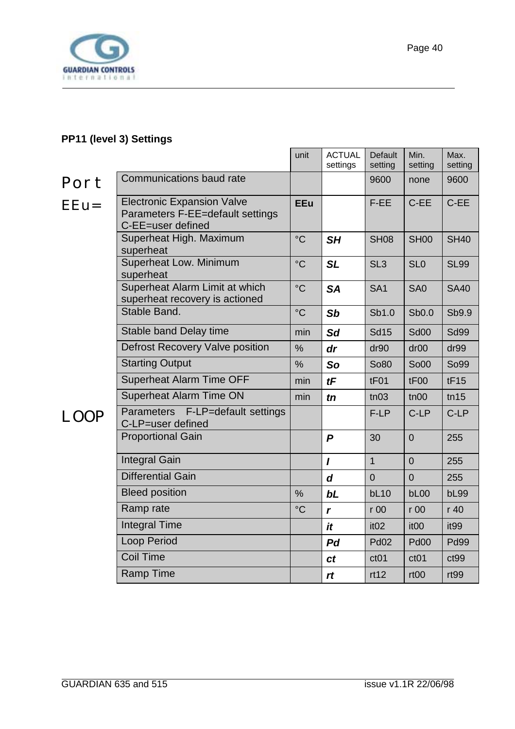<span id="page-39-0"></span>

#### **PP11 (level 3) Settings**

|             |                                                                                            | unit            | <b>ACTUAL</b><br>settings | Default<br>setting | Min.<br>setting  | Max.<br>setting  |
|-------------|--------------------------------------------------------------------------------------------|-----------------|---------------------------|--------------------|------------------|------------------|
| Port        | Communications baud rate                                                                   |                 |                           | 9600               | none             | 9600             |
| $EEu=$      | <b>Electronic Expansion Valve</b><br>Parameters F-EE=default settings<br>C-EE=user defined | <b>EEu</b>      |                           | F-EE               | C-EE             | C-EE             |
|             | Superheat High. Maximum<br>superheat                                                       | $\rm ^{\circ}C$ | SH                        | <b>SH08</b>        | <b>SH00</b>      | <b>SH40</b>      |
|             | Superheat Low. Minimum<br>superheat                                                        | $\rm ^{\circ}C$ | <b>SL</b>                 | SL <sub>3</sub>    | SL <sub>0</sub>  | <b>SL99</b>      |
|             | Superheat Alarm Limit at which<br>superheat recovery is actioned                           | $\rm ^{\circ}C$ | <b>SA</b>                 | SA <sub>1</sub>    | SA <sub>0</sub>  | <b>SA40</b>      |
|             | Stable Band.                                                                               | $\rm ^{\circ}C$ | Sb                        | Sb1.0              | Sb0.0            | Sb9.9            |
|             | Stable band Delay time                                                                     | min             | <b>Sd</b>                 | <b>Sd15</b>        | <b>Sd00</b>      | <b>Sd99</b>      |
|             | <b>Defrost Recovery Valve position</b>                                                     | %               | dr                        | dr90               | dr <sub>00</sub> | dr99             |
|             | <b>Starting Output</b>                                                                     | %               | So                        | So80               | So00             | So99             |
|             | <b>Superheat Alarm Time OFF</b>                                                            | min             | tF                        | tF01               | tF00             | tF15             |
|             | <b>Superheat Alarm Time ON</b>                                                             | min             | $\mathbf{f}$              | tn03               | tn00             | tn15             |
| <b>LOOP</b> | Parameters F-LP=default settings<br>C-LP=user defined                                      |                 |                           | F-LP               | C-LP             | C-LP             |
|             | <b>Proportional Gain</b>                                                                   |                 | $\boldsymbol{P}$          | 30                 | $\overline{0}$   | 255              |
|             | <b>Integral Gain</b>                                                                       |                 | $\mathbf{I}$              | $\mathbf{1}$       | $\overline{0}$   | 255              |
|             | <b>Differential Gain</b>                                                                   |                 | d                         | $\overline{0}$     | $\mathbf 0$      | 255              |
|             | <b>Bleed position</b>                                                                      | $\%$            | bL                        | bL10               | bL00             | <b>bL99</b>      |
|             | Ramp rate                                                                                  | $\rm ^{\circ}C$ | r                         | r 00               | r 00             | r 40             |
|             | <b>Integral Time</b>                                                                       |                 | it                        | it <sub>02</sub>   | it <sub>00</sub> | it <sub>99</sub> |
|             | <b>Loop Period</b>                                                                         |                 | P <sub>d</sub>            | <b>Pd02</b>        | <b>Pd00</b>      | <b>Pd99</b>      |
|             | <b>Coil Time</b>                                                                           |                 | ct                        | ct01               | ct01             | ct99             |
|             | <b>Ramp Time</b>                                                                           |                 | rt                        | rt12               | rt <sub>00</sub> | rt99             |